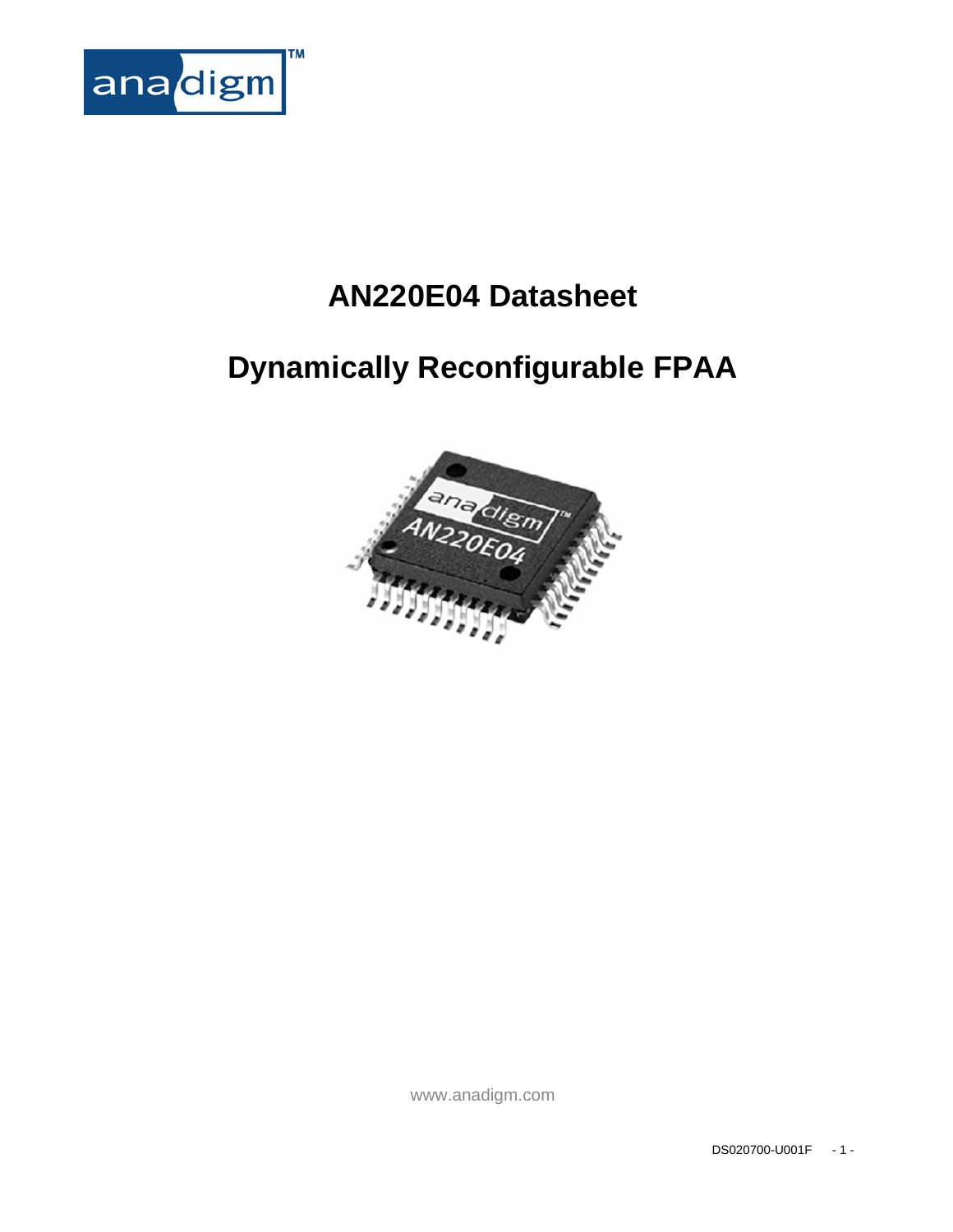

# **AN220E04 Datasheet**

# **Dynamically Reconfigurable FPAA**



www.anadigm.com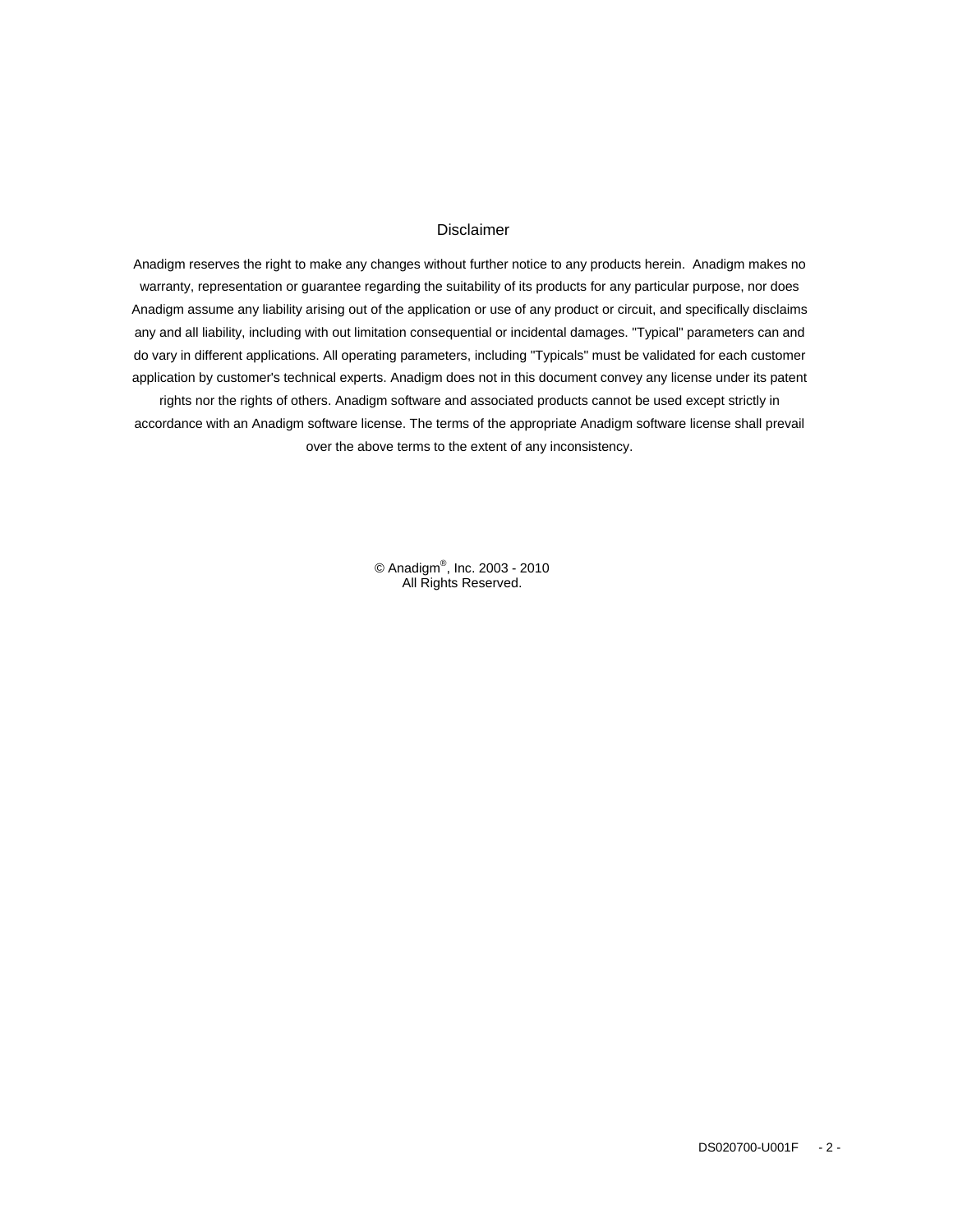#### Disclaimer

Anadigm reserves the right to make any changes without further notice to any products herein. Anadigm makes no warranty, representation or guarantee regarding the suitability of its products for any particular purpose, nor does Anadigm assume any liability arising out of the application or use of any product or circuit, and specifically disclaims any and all liability, including with out limitation consequential or incidental damages. "Typical" parameters can and do vary in different applications. All operating parameters, including "Typicals" must be validated for each customer application by customer's technical experts. Anadigm does not in this document convey any license under its patent rights nor the rights of others. Anadigm software and associated products cannot be used except strictly in accordance with an Anadigm software license. The terms of the appropriate Anadigm software license shall prevail over the above terms to the extent of any inconsistency.

> © Anadigm®, Inc. 2003 - 2010 All Rights Reserved.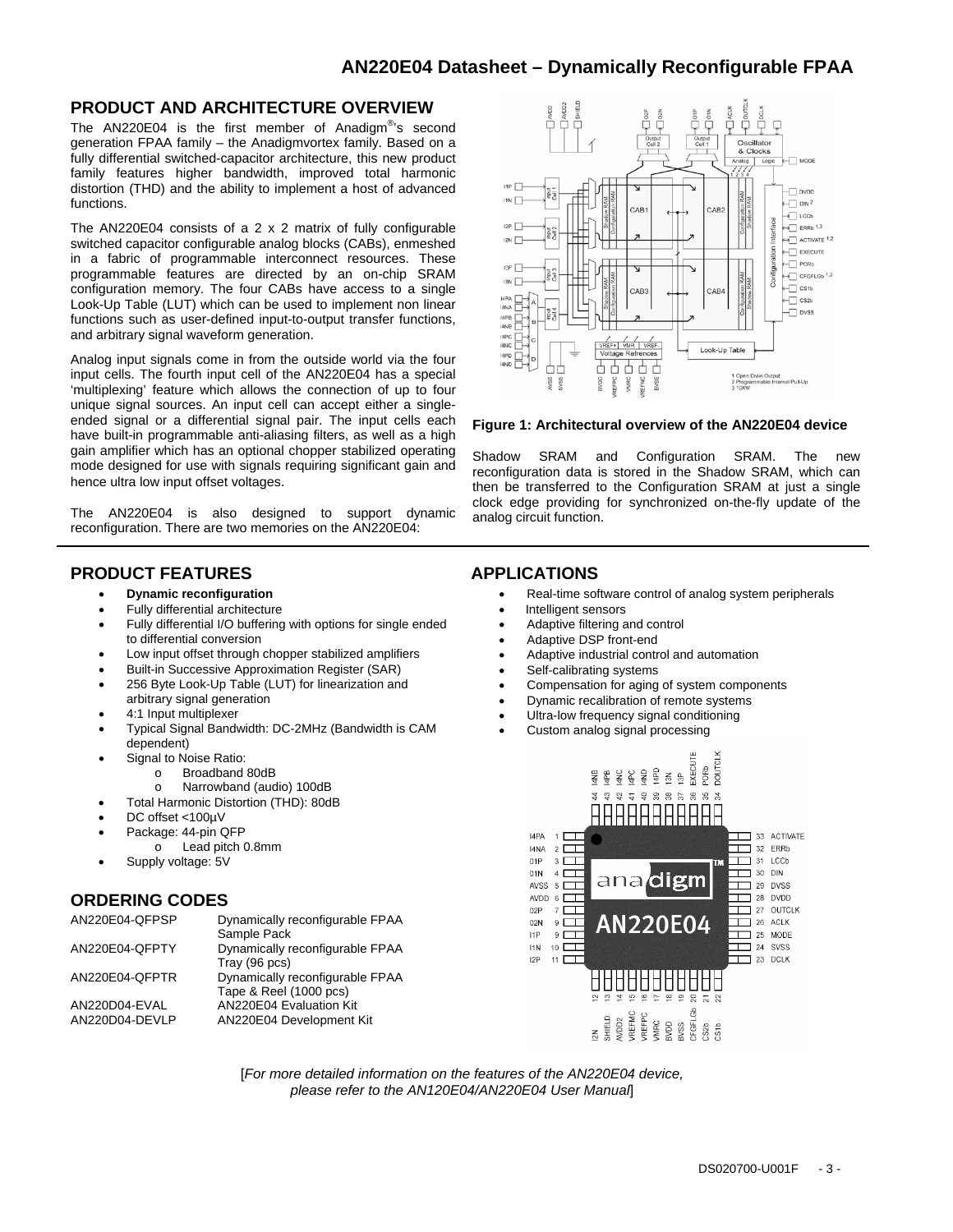#### **PRODUCT AND ARCHITECTURE OVERVIEW**

The AN220E04 is the first member of Anadigm®'s second generation FPAA family – the Anadigmvortex family. Based on a fully differential switched-capacitor architecture, this new product family features higher bandwidth, improved total harmonic distortion (THD) and the ability to implement a host of advanced functions.

The AN220E04 consists of a 2 x 2 matrix of fully configurable switched capacitor configurable analog blocks (CABs), enmeshed in a fabric of programmable interconnect resources. These programmable features are directed by an on-chip SRAM configuration memory. The four CABs have access to a single Look-Up Table (LUT) which can be used to implement non linear functions such as user-defined input-to-output transfer functions, and arbitrary signal waveform generation.

Analog input signals come in from the outside world via the four input cells. The fourth input cell of the AN220E04 has a special 'multiplexing' feature which allows the connection of up to four unique signal sources. An input cell can accept either a singleended signal or a differential signal pair. The input cells each have built-in programmable anti-aliasing filters, as well as a high gain amplifier which has an optional chopper stabilized operating mode designed for use with signals requiring significant gain and hence ultra low input offset voltages.

The AN220E04 is also designed to support dynamic reconfiguration. There are two memories on the AN220E04:

#### **PRODUCT FEATURES**

- **Dynamic reconfiguration**
- Fully differential architecture
- Fully differential I/O buffering with options for single ended to differential conversion
- Low input offset through chopper stabilized amplifiers
- Built-in Successive Approximation Register (SAR)
- 256 Byte Look-Up Table (LUT) for linearization and arbitrary signal generation
- 4:1 Input multiplexer
- Typical Signal Bandwidth: DC-2MHz (Bandwidth is CAM dependent)
- Signal to Noise Ratio:
	- o Broadband 80dB
	- o Narrowband (audio) 100dB
- Total Harmonic Distortion (THD): 80dB
- DC offset <100µV
- Package: 44-pin QFP
	- o Lead pitch 0.8mm
- Supply voltage: 5V

#### **ORDERING CODES**

| AN220E04-QFPSP                  | Dynamically reconfigurable FPAA<br>Sample Pack            |
|---------------------------------|-----------------------------------------------------------|
| AN220E04-QFPTY                  | Dynamically reconfigurable FPAA<br>Tray (96 pcs)          |
| AN220E04-QFPTR                  | Dynamically reconfigurable FPAA<br>Tape & Reel (1000 pcs) |
| AN220D04-EVAL<br>AN220D04-DEVLP | AN220E04 Evaluation Kit<br>AN220E04 Development Kit       |



#### **Figure 1: Architectural overview of the AN220E04 device**

Shadow SRAM and Configuration SRAM. The new reconfiguration data is stored in the Shadow SRAM, which can then be transferred to the Configuration SRAM at just a single clock edge providing for synchronized on-the-fly update of the analog circuit function.

### **APPLICATIONS**

- Real-time software control of analog system peripherals
- Intelligent sensors
- Adaptive filtering and control
- Adaptive DSP front-end
- Adaptive industrial control and automation
- Self-calibrating systems
- Compensation for aging of system components
- Dynamic recalibration of remote systems
- Ultra-low frequency signal conditioning
- Custom analog signal processing



[*For more detailed information on the features of the AN220E04 device, please refer to the AN120E04/AN220E04 User Manual*]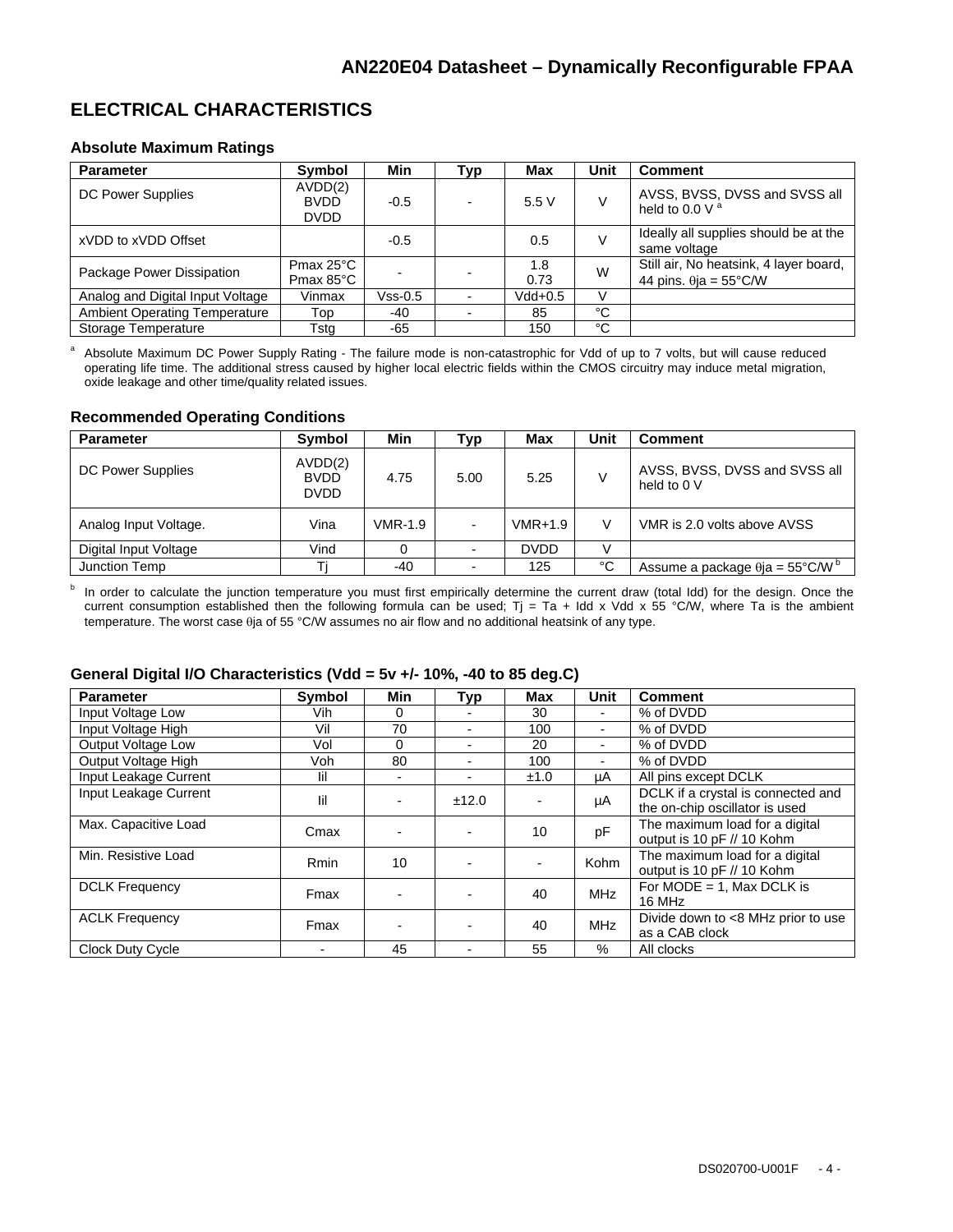### **ELECTRICAL CHARACTERISTICS**

#### **Absolute Maximum Ratings**

| <b>Parameter</b>                     | Symbol                                     | Min     | Typ | <b>Max</b>  | Unit | <b>Comment</b>                                                          |
|--------------------------------------|--------------------------------------------|---------|-----|-------------|------|-------------------------------------------------------------------------|
| <b>DC Power Supplies</b>             | AVDD(2)<br><b>BVDD</b><br><b>DVDD</b>      | $-0.5$  |     | 5.5V        |      | AVSS, BVSS, DVSS and SVSS all<br>held to 0.0 V $^{\circ}$               |
| xVDD to xVDD Offset                  |                                            | $-0.5$  |     | 0.5         | V    | Ideally all supplies should be at the<br>same voltage                   |
| Package Power Dissipation            | Pmax $25^{\circ}$ C<br>Pmax $85^{\circ}$ C |         |     | 1.8<br>0.73 | W    | Still air, No heatsink, 4 layer board,<br>44 pins. $\theta$ ja = 55°C/W |
| Analog and Digital Input Voltage     | Vinmax                                     | Vss-0.5 |     | Vdd+0.5     | V    |                                                                         |
| <b>Ambient Operating Temperature</b> | Top                                        | $-40$   |     | 85          | °C   |                                                                         |
| Storage Temperature                  | Tsta                                       | $-65$   |     | 150         | °C   |                                                                         |

a Absolute Maximum DC Power Supply Rating - The failure mode is non-catastrophic for Vdd of up to 7 volts, but will cause reduced operating life time. The additional stress caused by higher local electric fields within the CMOS circuitry may induce metal migration, oxide leakage and other time/quality related issues.

#### **Recommended Operating Conditions**

| <b>Parameter</b>      | Symbol                                | Min            | <b>Typ</b>               | Max         | Unit | <b>Comment</b>                                     |
|-----------------------|---------------------------------------|----------------|--------------------------|-------------|------|----------------------------------------------------|
| DC Power Supplies     | AVDD(2)<br><b>BVDD</b><br><b>DVDD</b> | 4.75           | 5.00                     | 5.25        | V    | AVSS, BVSS, DVSS and SVSS all<br>held to 0 V       |
| Analog Input Voltage. | Vina                                  | <b>VMR-1.9</b> | ۰                        | $VMR+1.9$   | V    | VMR is 2.0 volts above AVSS                        |
| Digital Input Voltage | Vind                                  |                | $\blacksquare$           | <b>DVDD</b> |      |                                                    |
| Junction Temp         |                                       | -40            | $\overline{\phantom{0}}$ | 125         | °C   | Assume a package $\theta$ ja = 55°C/W <sup>b</sup> |

b In order to calculate the junction temperature you must first empirically determine the current draw (total Idd) for the design. Once the current consumption established then the following formula can be used; Tj = Ta + Idd x Vdd x 55 °C/W, where Ta is the ambient temperature. The worst case  $\theta$ ja of 55 °C/W assumes no air flow and no additional heatsink of any type.

#### **General Digital I/O Characteristics (Vdd = 5v +/- 10%, -40 to 85 deg.C)**

| <b>Parameter</b>        | Symbol      | Min            | <b>Typ</b>               | Max  | Unit           | <b>Comment</b>                     |
|-------------------------|-------------|----------------|--------------------------|------|----------------|------------------------------------|
| Input Voltage Low       | Vih         | 0              |                          | 30   |                | % of DVDD                          |
| Input Voltage High      | Vil         | 70             | $\overline{\phantom{0}}$ | 100  | $\blacksquare$ | % of DVDD                          |
| Output Voltage Low      | Vol         | 0              |                          | 20   |                | % of DVDD                          |
| Output Voltage High     | Voh         | 80             |                          | 100  |                | % of DVDD                          |
| Input Leakage Current   | lil         | $\blacksquare$ |                          | ±1.0 | μA             | All pins except DCLK               |
| Input Leakage Current   | lil         |                | ±12.0                    |      | μA             | DCLK if a crystal is connected and |
|                         |             |                |                          |      |                | the on-chip oscillator is used     |
| Max. Capacitive Load    | Cmax        |                |                          | 10   | pF             | The maximum load for a digital     |
|                         |             |                |                          |      |                | output is 10 pF // 10 Kohm         |
| Min. Resistive Load     | <b>Rmin</b> | 10             |                          |      | Kohm           | The maximum load for a digital     |
|                         |             |                |                          |      |                | output is 10 pF // 10 Kohm         |
| <b>DCLK Frequency</b>   | Fmax        |                |                          | 40   | <b>MHz</b>     | For $MODE = 1$ , Max DCLK is       |
|                         |             |                |                          |      |                | 16 MHz                             |
| <b>ACLK Frequency</b>   | Fmax        |                |                          | 40   | <b>MHz</b>     | Divide down to <8 MHz prior to use |
|                         |             |                |                          |      |                | as a CAB clock                     |
| <b>Clock Duty Cycle</b> |             | 45             |                          | 55   | $\%$           | All clocks                         |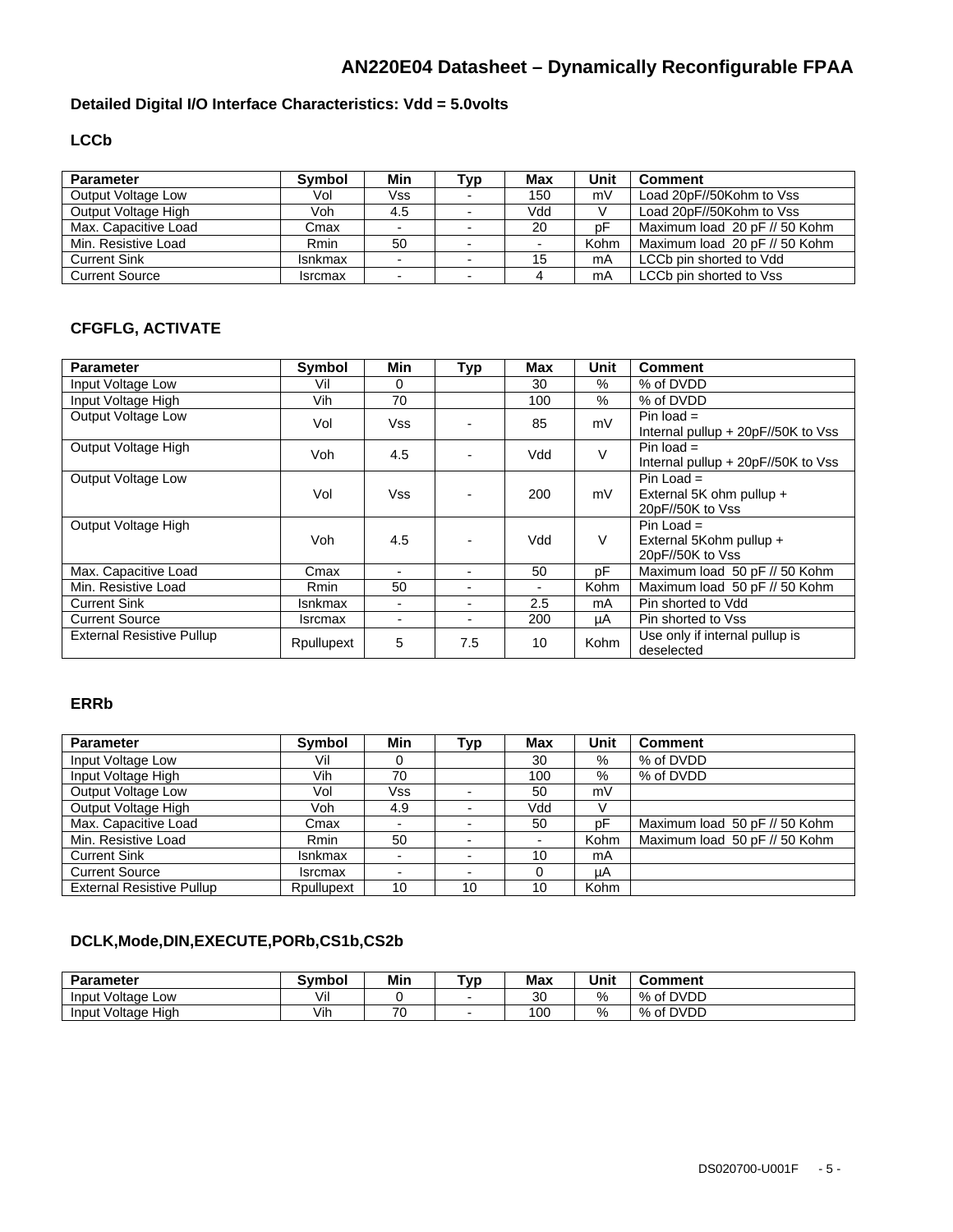### **Detailed Digital I/O Interface Characteristics: Vdd = 5.0volts**

### **LCCb**

| <b>Parameter</b>      | <b>Symbol</b>  | Min  | Typ                      | <b>Max</b> | Unit | <b>Comment</b>                |
|-----------------------|----------------|------|--------------------------|------------|------|-------------------------------|
| Output Voltage Low    | Vol            | Vss. |                          | 150        | mV   | Load 20pF//50Kohm to Vss      |
| Output Voltage High   | Voh            | 4.5  | $\overline{\phantom{a}}$ | Vdd        |      | Load 20pF//50Kohm to Vss      |
| Max. Capacitive Load  | Cmax           |      |                          | 20         | рF   | Maximum load 20 pF // 50 Kohm |
| Min. Resistive Load   | Rmin           | 50   |                          |            | Kohm | Maximum load 20 pF // 50 Kohm |
| <b>Current Sink</b>   | <b>Isnkmax</b> |      | $\overline{\phantom{0}}$ | 15         | mA   | LCCb pin shorted to Vdd       |
| <b>Current Source</b> | <b>Isrcmax</b> |      | $\blacksquare$           |            | mA   | LCCb pin shorted to Vss       |

### **CFGFLG, ACTIVATE**

| <b>Parameter</b>                 | <b>Symbol</b>  | <b>Min</b> | Typ            | Max                      | Unit        | <b>Comment</b>                                                 |
|----------------------------------|----------------|------------|----------------|--------------------------|-------------|----------------------------------------------------------------|
| Input Voltage Low                | Vil            | $\Omega$   |                | 30                       | $\%$        | % of DVDD                                                      |
| Input Voltage High               | Vih            | 70         |                | 100                      | $\%$        | % of DVDD                                                      |
| <b>Output Voltage Low</b>        | Vol            | Vss        |                | 85                       | mV          | Pin load $=$<br>Internal pullup + 20pF//50K to Vss             |
| Output Voltage High              | Voh.           | 4.5        |                | Vdd                      | $\vee$      | Pin load $=$<br>Internal pullup + 20pF//50K to Vss             |
| <b>Output Voltage Low</b>        | Vol            | Vss        |                | 200                      | mV          | $Pin$ Load $=$<br>External 5K ohm pullup +<br>20pF//50K to Vss |
| Output Voltage High              | Voh            | 4.5        |                | Vdd                      | V           | Pin Load $=$<br>External 5Kohm pullup +<br>20pF//50K to Vss    |
| Max. Capacitive Load             | Cmax           |            | $\blacksquare$ | 50                       | pF          | Maximum load 50 pF // 50 Kohm                                  |
| Min. Resistive Load              | Rmin           | 50         |                | $\overline{\phantom{0}}$ | <b>Kohm</b> | Maximum load 50 pF // 50 Kohm                                  |
| <b>Current Sink</b>              | Isnkmax        |            | $\blacksquare$ | 2.5                      | mA          | Pin shorted to Vdd                                             |
| <b>Current Source</b>            | <b>Isrcmax</b> |            | ۰.             | 200                      | μA          | Pin shorted to Vss                                             |
| <b>External Resistive Pullup</b> | Rpullupext     | 5          | 7.5            | 10                       | Kohm        | Use only if internal pullup is<br>deselected                   |

### **ERRb**

| <b>Parameter</b>                 | Symbol         | Min | <b>Typ</b>               | Max | Unit        | <b>Comment</b>                |
|----------------------------------|----------------|-----|--------------------------|-----|-------------|-------------------------------|
| Input Voltage Low                | Vil            | 0   |                          | 30  | $\%$        | % of DVDD                     |
| Input Voltage High               | Vih            | 70  |                          | 100 | $\%$        | % of DVDD                     |
| Output Voltage Low               | Vol            | Vss | $\overline{\phantom{0}}$ | 50  | mV          |                               |
| Output Voltage High              | Voh            | 4.9 | $\overline{\phantom{0}}$ | Vdd |             |                               |
| Max. Capacitive Load             | Cmax           |     |                          | 50  | pF          | Maximum load 50 pF // 50 Kohm |
| Min. Resistive Load              | Rmin           | 50  |                          |     | Kohm        | Maximum load 50 pF // 50 Kohm |
| <b>Current Sink</b>              | <b>Isnkmax</b> |     | $\overline{\phantom{0}}$ | 10  | mA          |                               |
| <b>Current Source</b>            | <b>Isrcmax</b> |     | $\overline{\phantom{0}}$ |     | uA          |                               |
| <b>External Resistive Pullup</b> | Rpullupext     | 10  | 10                       | 10  | <b>Kohm</b> |                               |

### **DCLK,Mode,DIN,EXECUTE,PORb,CS1b,CS2b**

| <b>Parameter</b>                  | Symbol | Min | ™vp                      | <b>Max</b> | Unit          | Comment   |
|-----------------------------------|--------|-----|--------------------------|------------|---------------|-----------|
| Input Voltage Low                 | Vil    |     | $\overline{\phantom{0}}$ | 30         | $\frac{0}{c}$ | % of DVDD |
| $\cdots$<br>Input Voltage<br>Hiah | Vir    | 70  | $\overline{\phantom{0}}$ | 100        | $\frac{0}{c}$ | % of DVDD |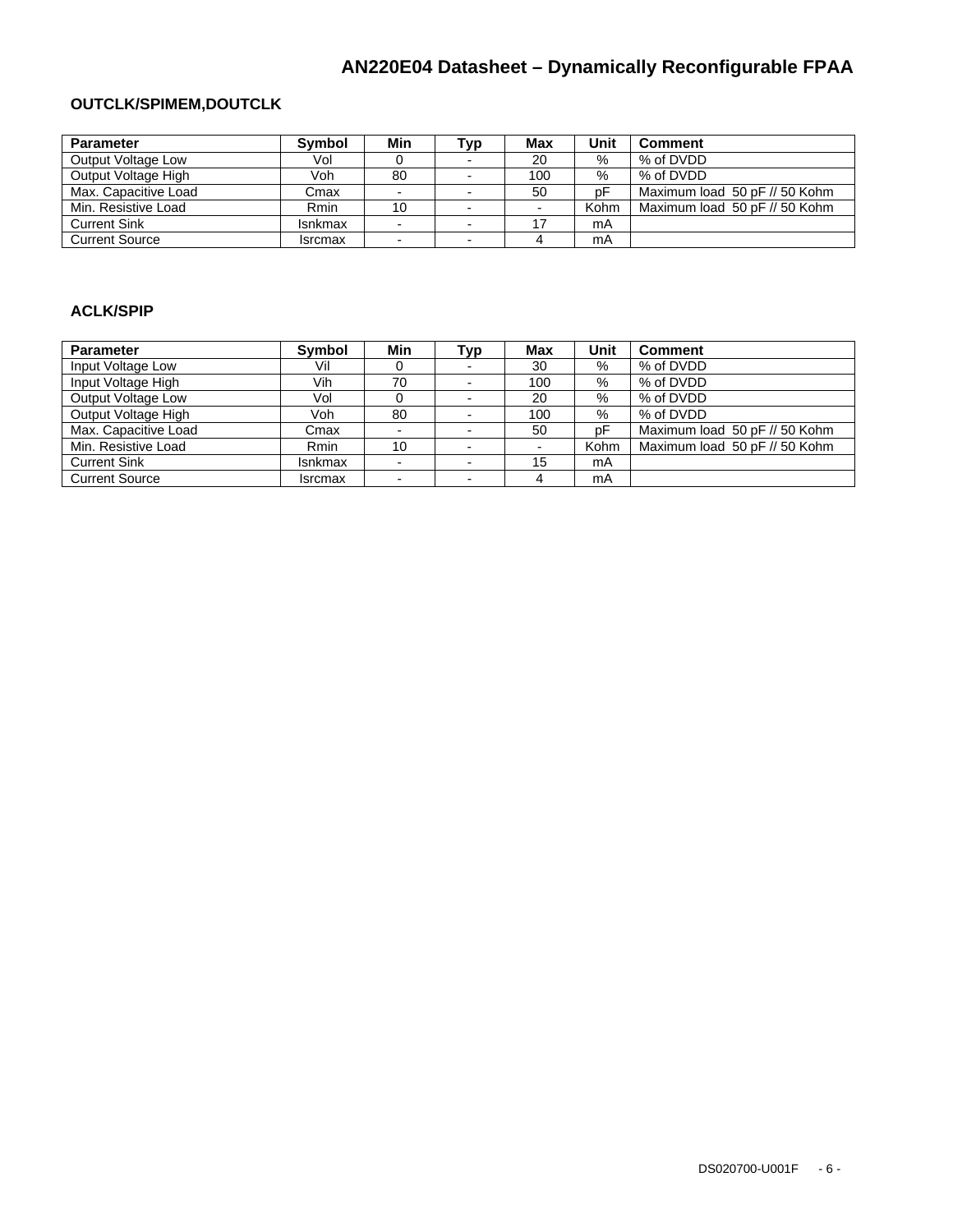### **OUTCLK/SPIMEM,DOUTCLK**

| <b>Parameter</b>      | <b>Symbol</b>  | Min | Typ                      | <b>Max</b> | Unit | <b>Comment</b>                |
|-----------------------|----------------|-----|--------------------------|------------|------|-------------------------------|
| Output Voltage Low    | Vol            |     | $\overline{\phantom{a}}$ | 20         | $\%$ | % of DVDD                     |
| Output Voltage High   | Voh            | 80  |                          | 100        | %    | % of DVDD                     |
| Max. Capacitive Load  | Cmax           |     | $\overline{\phantom{0}}$ | 50         | рF   | Maximum load 50 pF // 50 Kohm |
| Min. Resistive Load   | Rmin           | 10  |                          |            | Kohm | Maximum load 50 pF // 50 Kohm |
| <b>Current Sink</b>   | Isnkmax        |     | $\overline{\phantom{0}}$ |            | mA   |                               |
| <b>Current Source</b> | <b>Isrcmax</b> |     | $\overline{\phantom{0}}$ |            | mA   |                               |

#### **ACLK/SPIP**

| <b>Parameter</b>      | <b>Symbol</b>  | Min | Typ                      | <b>Max</b> | Unit | <b>Comment</b>                |
|-----------------------|----------------|-----|--------------------------|------------|------|-------------------------------|
| Input Voltage Low     | Vil            |     |                          | 30         | %    | % of DVDD                     |
| Input Voltage High    | Vih            | 70  |                          | 100        | $\%$ | % of DVDD                     |
| Output Voltage Low    | Vol            |     | $\overline{\phantom{0}}$ | 20         | %    | % of DVDD                     |
| Output Voltage High   | Voh            | 80  |                          | 100        | %    | % of DVDD                     |
| Max. Capacitive Load  | Cmax           |     |                          | 50         | рF   | Maximum load 50 pF // 50 Kohm |
| Min. Resistive Load   | Rmin           | 10  |                          |            | Kohm | Maximum load 50 pF // 50 Kohm |
| <b>Current Sink</b>   | <b>Isnkmax</b> |     | $\overline{\phantom{0}}$ | 15         | mA   |                               |
| <b>Current Source</b> | <b>Isrcmax</b> |     | $\overline{\phantom{0}}$ |            | mA   |                               |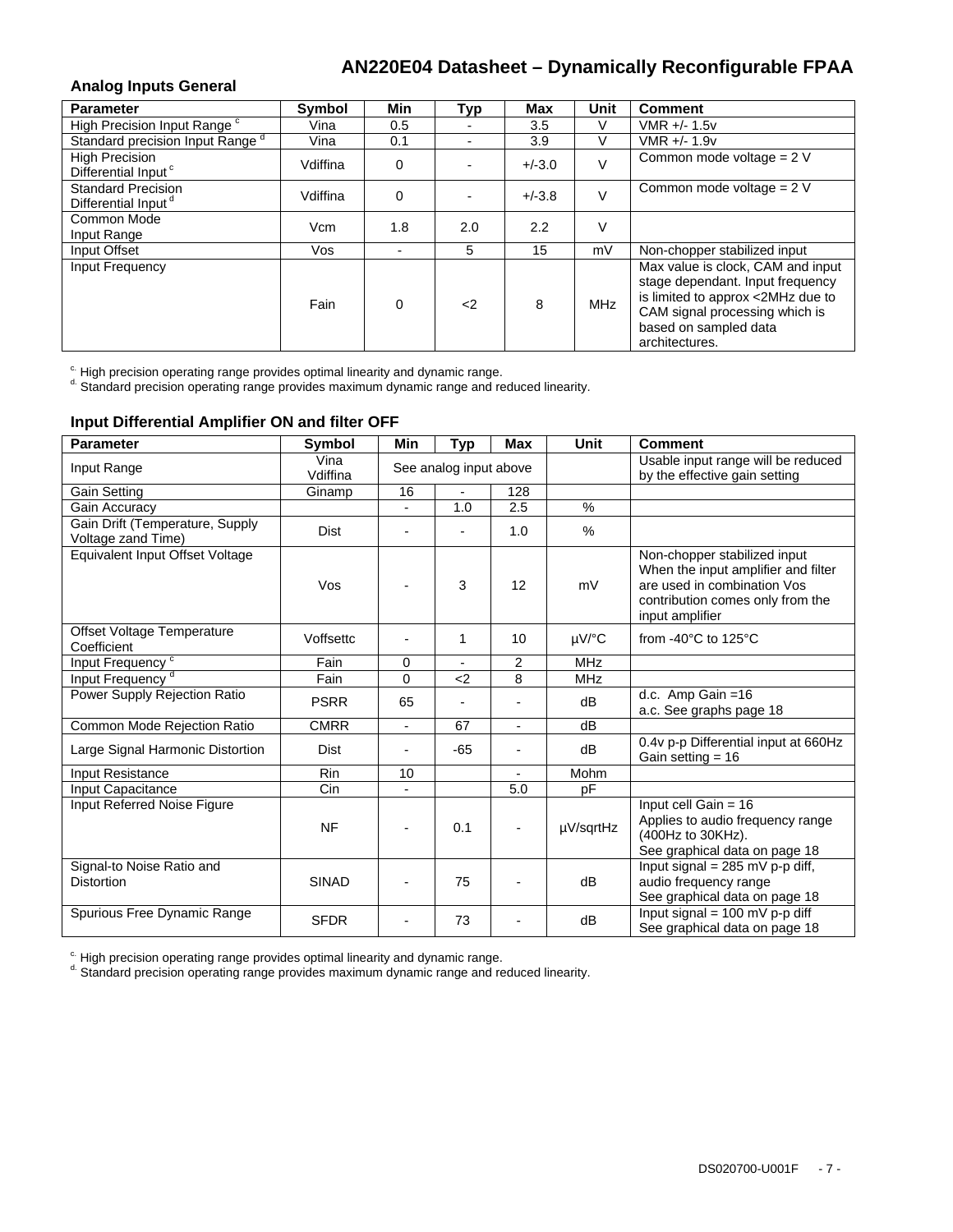#### **Analog Inputs General**

| <b>Parameter</b>                                             | Symbol   | Min      | Typ                      | <b>Max</b> | Unit       | <b>Comment</b>                                                                                                                                                                          |
|--------------------------------------------------------------|----------|----------|--------------------------|------------|------------|-----------------------------------------------------------------------------------------------------------------------------------------------------------------------------------------|
| High Precision Input Range <sup>c</sup>                      | Vina     | 0.5      |                          | 3.5        |            | VMR +/- 1.5v                                                                                                                                                                            |
| Standard precision Input Range <sup>d</sup>                  | Vina     | 0.1      | $\overline{\phantom{0}}$ | 3.9        |            | VMR +/- 1.9v                                                                                                                                                                            |
| <b>High Precision</b><br>Differential Input <sup>c</sup>     | Vdiffina | $\Omega$ | $\blacksquare$           | $+/-3.0$   |            | Common mode voltage = $2 V$                                                                                                                                                             |
| <b>Standard Precision</b><br>Differential Input <sup>d</sup> | Vdiffina | $\Omega$ |                          | $+/-3.8$   |            | Common mode voltage = $2 V$                                                                                                                                                             |
| Common Mode<br>Input Range                                   | Vcm      | 1.8      | 2.0                      | 2.2        |            |                                                                                                                                                                                         |
| Input Offset                                                 | Vos      |          | 5                        | 15         | mV         | Non-chopper stabilized input                                                                                                                                                            |
| <b>Input Frequency</b>                                       | Fain     | $\Omega$ | $\langle$ 2              | 8          | <b>MHz</b> | Max value is clock, CAM and input<br>stage dependant. Input frequency<br>is limited to approx <2MHz due to<br>CAM signal processing which is<br>based on sampled data<br>architectures. |

 $\textdegree$  High precision operating range provides optimal linearity and dynamic range.<br> $\textdegree$  Standard precision operating range provides maximum dynamic range and reduced linearity.

#### **Input Differential Amplifier ON and filter OFF**

| <b>Parameter</b>                                      | <b>Symbol</b>    | Min                      | <b>Typ</b>               | Max                      | Unit       | <b>Comment</b>                                                                                                                                            |
|-------------------------------------------------------|------------------|--------------------------|--------------------------|--------------------------|------------|-----------------------------------------------------------------------------------------------------------------------------------------------------------|
| Input Range                                           | Vina<br>Vdiffina |                          | See analog input above   |                          |            | Usable input range will be reduced<br>by the effective gain setting                                                                                       |
| Gain Setting                                          | Ginamp           | 16                       |                          | 128                      |            |                                                                                                                                                           |
| Gain Accuracy                                         |                  | $\overline{\phantom{a}}$ | 1.0                      | 2.5                      | $\%$       |                                                                                                                                                           |
| Gain Drift (Temperature, Supply<br>Voltage zand Time) | <b>Dist</b>      | $\overline{\phantom{0}}$ |                          | 1.0                      | $\%$       |                                                                                                                                                           |
| Equivalent Input Offset Voltage                       | Vos              |                          | 3                        | 12                       | mV         | Non-chopper stabilized input<br>When the input amplifier and filter<br>are used in combination Vos<br>contribution comes only from the<br>input amplifier |
| Offset Voltage Temperature<br>Coefficient             | Voffsettc        | ۰                        | 1                        | 10                       | µV/°C      | from -40 $\degree$ C to 125 $\degree$ C                                                                                                                   |
| Input Frequency <sup>c</sup>                          | Fain             | 0                        | $\overline{\phantom{a}}$ | $\overline{2}$           | <b>MHz</b> |                                                                                                                                                           |
| Input Frequency <sup>d</sup>                          | Fain             | $\Omega$                 | $2$                      | 8                        | <b>MHz</b> |                                                                                                                                                           |
| Power Supply Rejection Ratio                          | <b>PSRR</b>      | 65                       |                          |                          | dB         | d.c. Amp Gain $=16$<br>a.c. See graphs page 18                                                                                                            |
| Common Mode Rejection Ratio                           | <b>CMRR</b>      | $\blacksquare$           | 67                       | $\overline{\phantom{0}}$ | dB         |                                                                                                                                                           |
| Large Signal Harmonic Distortion                      | <b>Dist</b>      | -                        | $-65$                    |                          | dB         | 0.4v p-p Differential input at 660Hz<br>Gain setting $= 16$                                                                                               |
| <b>Input Resistance</b>                               | <b>Rin</b>       | 10                       |                          | $\overline{\phantom{0}}$ | Mohm       |                                                                                                                                                           |
| Input Capacitance                                     | Cin              |                          |                          | 5.0                      | pF         |                                                                                                                                                           |
| Input Referred Noise Figure                           | <b>NF</b>        |                          | 0.1                      |                          | µV/sqrtHz  | Input cell Gain = $16$<br>Applies to audio frequency range<br>(400Hz to 30KHz).<br>See graphical data on page 18                                          |
| Signal-to Noise Ratio and<br><b>Distortion</b>        | <b>SINAD</b>     |                          | 75                       |                          | dB         | Input signal = $285$ mV p-p diff,<br>audio frequency range<br>See graphical data on page 18                                                               |
| Spurious Free Dynamic Range                           | <b>SFDR</b>      |                          | 73                       |                          | dB         | Input signal = $100$ mV p-p diff<br>See graphical data on page 18                                                                                         |

 $\degree$  High precision operating range provides optimal linearity and dynamic range.<br> $\degree$  Standard precision operating range provides maximum dynamic range and reduced linearity.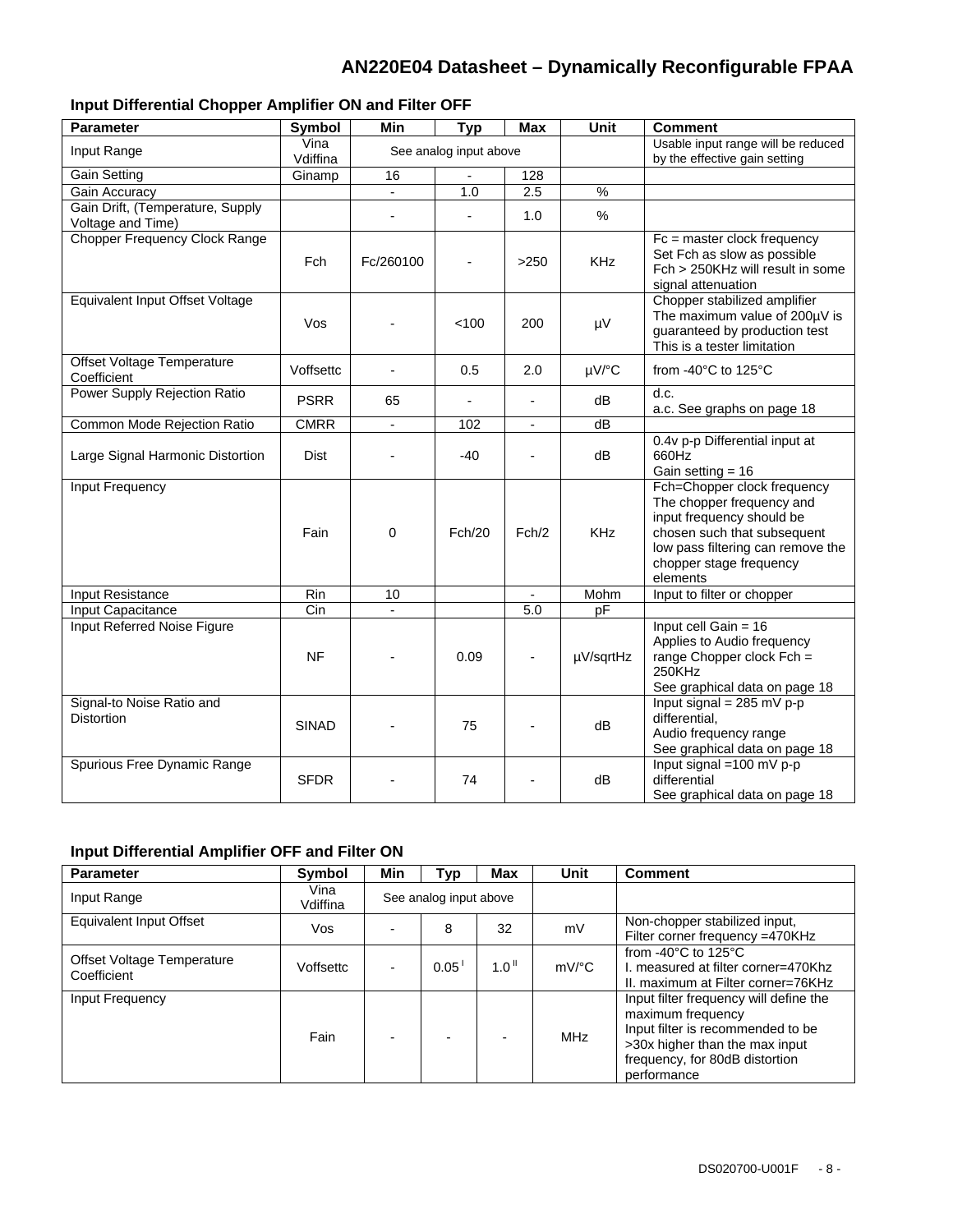### **Input Differential Chopper Amplifier ON and Filter OFF**

| <b>Parameter</b>                                      | Symbol            | Min                      | <b>Typ</b>             | Max                      | Unit          | <b>Comment</b>                                                                                                                                                                                   |
|-------------------------------------------------------|-------------------|--------------------------|------------------------|--------------------------|---------------|--------------------------------------------------------------------------------------------------------------------------------------------------------------------------------------------------|
| Input Range                                           | Vina<br>Vdiffina  |                          | See analog input above |                          |               | Usable input range will be reduced<br>by the effective gain setting                                                                                                                              |
| <b>Gain Setting</b>                                   | Ginamp            | 16                       | $\blacksquare$         | 128                      |               |                                                                                                                                                                                                  |
| Gain Accuracy                                         |                   | $\overline{\phantom{a}}$ | 1.0                    | 2.5                      | $\frac{9}{6}$ |                                                                                                                                                                                                  |
| Gain Drift, (Temperature, Supply<br>Voltage and Time) |                   |                          | $\blacksquare$         | 1.0                      | $\%$          |                                                                                                                                                                                                  |
| <b>Chopper Frequency Clock Range</b>                  | Fch               | Fc/260100                |                        | >250                     | <b>KHz</b>    | $Fc = master clock frequency$<br>Set Fch as slow as possible<br>Fch > 250KHz will result in some<br>signal attenuation                                                                           |
| Equivalent Input Offset Voltage                       | Vos               |                          | < 100                  | 200                      | μV            | Chopper stabilized amplifier<br>The maximum value of 200µV is<br>guaranteed by production test<br>This is a tester limitation                                                                    |
| Offset Voltage Temperature<br>Coefficient             | Voffsettc         | $\sim$                   | 0.5                    | 2.0                      | µV/°C         | from -40°C to 125°C                                                                                                                                                                              |
| Power Supply Rejection Ratio                          | <b>PSRR</b>       | 65                       |                        | $\blacksquare$           | dB            | d.c.<br>a.c. See graphs on page 18                                                                                                                                                               |
| Common Mode Rejection Ratio                           | <b>CMRR</b>       | $\blacksquare$           | 102                    | $\overline{\phantom{a}}$ | dB            |                                                                                                                                                                                                  |
| Large Signal Harmonic Distortion                      | <b>Dist</b>       |                          | -40                    |                          | dB            | 0.4v p-p Differential input at<br>660Hz<br>Gain setting $= 16$                                                                                                                                   |
| Input Frequency                                       | Fain              | 0                        | Fch/20                 | Fch/2                    | <b>KHz</b>    | Fch=Chopper clock frequency<br>The chopper frequency and<br>input frequency should be<br>chosen such that subsequent<br>low pass filtering can remove the<br>chopper stage frequency<br>elements |
| Input Resistance                                      | $\overline{R}$ in | 10                       |                        |                          | Mohm          | Input to filter or chopper                                                                                                                                                                       |
| Input Capacitance                                     | Cin               | $\mathbf{r}$             |                        | 5.0                      | pF            |                                                                                                                                                                                                  |
| Input Referred Noise Figure                           | <b>NF</b>         |                          | 0.09                   | $\overline{\phantom{a}}$ | µV/sqrtHz     | Input cell Gain = $16$<br>Applies to Audio frequency<br>range Chopper clock $Fch =$<br>250KHz<br>See graphical data on page 18                                                                   |
| Signal-to Noise Ratio and<br><b>Distortion</b>        | <b>SINAD</b>      |                          | 75                     |                          | dB            | Input signal = $285$ mV p-p<br>differential.<br>Audio frequency range<br>See graphical data on page 18                                                                                           |
| Spurious Free Dynamic Range                           | <b>SFDR</b>       |                          | 74                     |                          | dB            | Input signal = $100 \text{ mV p-p}$<br>differential<br>See graphical data on page 18                                                                                                             |

### **Input Differential Amplifier OFF and Filter ON**

| <b>Parameter</b>                          | Symbol           | Min                    | Typ  | Max                  | Unit                | <b>Comment</b>                                                                                                                                                                      |
|-------------------------------------------|------------------|------------------------|------|----------------------|---------------------|-------------------------------------------------------------------------------------------------------------------------------------------------------------------------------------|
| Input Range                               | Vina<br>Vdiffina | See analog input above |      |                      |                     |                                                                                                                                                                                     |
| Equivalent Input Offset                   | Vos              |                        | 8    | 32                   | mV                  | Non-chopper stabilized input,<br>Filter corner frequency =470KHz                                                                                                                    |
| Offset Voltage Temperature<br>Coefficient | Voffsettc        |                        | 0.05 | $1.0^{\, \text{II}}$ | $mV$ <sup>o</sup> C | from -40 $\degree$ C to 125 $\degree$ C<br>L measured at filter corner=470Khz<br>II. maximum at Filter corner=76KHz                                                                 |
| Input Frequency                           | Fain             |                        |      |                      | MHz                 | Input filter frequency will define the<br>maximum frequency<br>Input filter is recommended to be<br>>30x higher than the max input<br>frequency, for 80dB distortion<br>performance |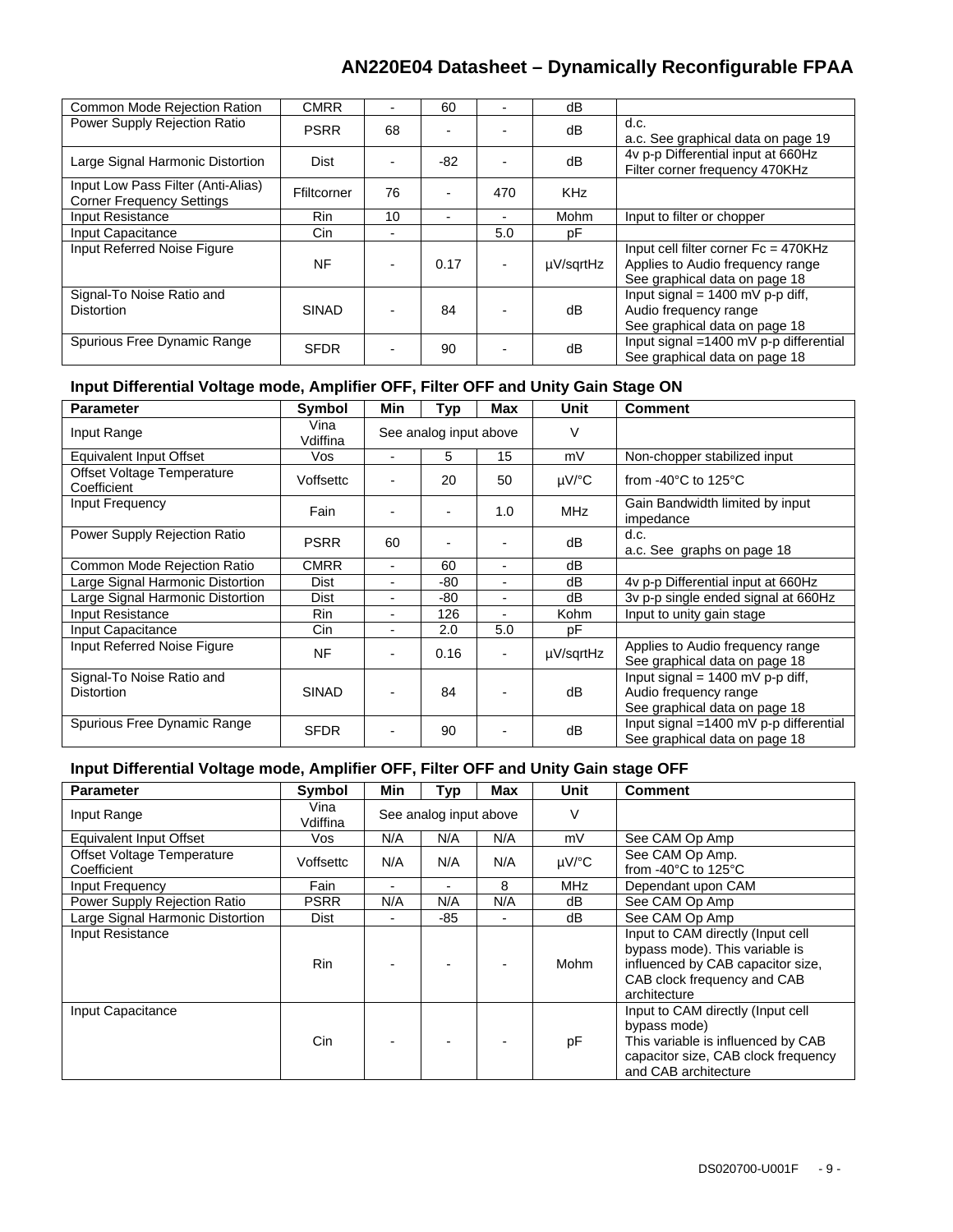| Common Mode Rejection Ration                                           | <b>CMRR</b>  |    | 60   |     | dВ         |                                                                                                             |
|------------------------------------------------------------------------|--------------|----|------|-----|------------|-------------------------------------------------------------------------------------------------------------|
| Power Supply Rejection Ratio                                           | <b>PSRR</b>  | 68 |      |     | dB         | d.c.<br>a.c. See graphical data on page 19                                                                  |
| Large Signal Harmonic Distortion                                       | Dist         |    | -82  |     | dB         | 4v p-p Differential input at 660Hz<br>Filter corner frequency 470KHz                                        |
| Input Low Pass Filter (Anti-Alias)<br><b>Corner Frequency Settings</b> | Ffiltcorner  | 76 |      | 470 | <b>KHz</b> |                                                                                                             |
| Input Resistance                                                       | <b>Rin</b>   | 10 |      |     | Mohm       | Input to filter or chopper                                                                                  |
| Input Capacitance                                                      | Cin.         |    |      | 5.0 | рF         |                                                                                                             |
| Input Referred Noise Figure                                            | <b>NF</b>    |    | 0.17 |     | µV/sqrtHz  | Input cell filter corner $Fc = 470KHz$<br>Applies to Audio frequency range<br>See graphical data on page 18 |
| Signal-To Noise Ratio and<br><b>Distortion</b>                         | <b>SINAD</b> |    | 84   |     | dB         | Input signal = $1400$ mV p-p diff,<br>Audio frequency range<br>See graphical data on page 18                |
| Spurious Free Dynamic Range                                            | <b>SFDR</b>  |    | 90   |     | dB         | Input signal =1400 mV p-p differential<br>See graphical data on page 18                                     |

### **Input Differential Voltage mode, Amplifier OFF, Filter OFF and Unity Gain Stage ON**

| <b>Parameter</b>                               | <b>Symbol</b>    | Min                      | <b>Typ</b>                   | Max | Unit       | <b>Comment</b>                                                                               |
|------------------------------------------------|------------------|--------------------------|------------------------------|-----|------------|----------------------------------------------------------------------------------------------|
| Input Range                                    | Vina<br>Vdiffina |                          | See analog input above       |     | $\vee$     |                                                                                              |
| Equivalent Input Offset                        | Vos              | ۰                        | 5                            | 15  | mV         | Non-chopper stabilized input                                                                 |
| Offset Voltage Temperature<br>Coefficient      | Voffsettc        | $\overline{\phantom{0}}$ | 20                           | 50  | $\mu$ V/°C | from -40 $\degree$ C to 125 $\degree$ C                                                      |
| Input Frequency                                | Fain             |                          | $\qquad \qquad \blacksquare$ | 1.0 | <b>MHz</b> | Gain Bandwidth limited by input<br>impedance                                                 |
| Power Supply Rejection Ratio                   | <b>PSRR</b>      | 60                       | $\blacksquare$               |     | dB         | d.c.<br>a.c. See graphs on page 18                                                           |
| Common Mode Rejection Ratio                    | CMRR             | $\overline{\phantom{0}}$ | 60                           | -   | dB         |                                                                                              |
| Large Signal Harmonic Distortion               | Dist             |                          | -80                          |     | dB         | 4v p-p Differential input at 660Hz                                                           |
| Large Signal Harmonic Distortion               | <b>Dist</b>      | -                        | -80                          | ۰   | dB         | 3v p-p single ended signal at 660Hz                                                          |
| Input Resistance                               | <b>Rin</b>       | -                        | 126                          |     | Kohm       | Input to unity gain stage                                                                    |
| Input Capacitance                              | Cin.             | -                        | 2.0                          | 5.0 | рF         |                                                                                              |
| Input Referred Noise Figure                    | <b>NF</b>        | -                        | 0.16                         |     | µV/sqrtHz  | Applies to Audio frequency range<br>See graphical data on page 18                            |
| Signal-To Noise Ratio and<br><b>Distortion</b> | <b>SINAD</b>     |                          | 84                           |     | dB         | Input signal = $1400$ mV p-p diff,<br>Audio frequency range<br>See graphical data on page 18 |
| Spurious Free Dynamic Range                    | <b>SFDR</b>      |                          | 90                           |     | dB         | Input signal $=1400$ mV p-p differential<br>See graphical data on page 18                    |

### **Input Differential Voltage mode, Amplifier OFF, Filter OFF and Unity Gain stage OFF**

| <b>Parameter</b>                          | Symbol           | Min                      | Typ                    | Max | Unit       | <b>Comment</b>                                                                                                                                          |
|-------------------------------------------|------------------|--------------------------|------------------------|-----|------------|---------------------------------------------------------------------------------------------------------------------------------------------------------|
| Input Range                               | Vina<br>Vdiffina |                          | See analog input above |     | ٧          |                                                                                                                                                         |
| Equivalent Input Offset                   | Vos              | N/A                      | N/A                    | N/A | mV         | See CAM Op Amp                                                                                                                                          |
| Offset Voltage Temperature<br>Coefficient | Voffsettc        | N/A                      | N/A                    | N/A | $\mu$ V/°C | See CAM Op Amp.<br>from -40 $^{\circ}$ C to 125 $^{\circ}$ C                                                                                            |
| Input Frequency                           | Fain             | $\overline{\phantom{0}}$ |                        | 8   | <b>MHz</b> | Dependant upon CAM                                                                                                                                      |
| <b>Power Supply Rejection Ratio</b>       | <b>PSRR</b>      | N/A                      | N/A                    | N/A | dB         | See CAM Op Amp                                                                                                                                          |
| Large Signal Harmonic Distortion          | Dist             | $\blacksquare$           | -85                    | ٠   | dB         | See CAM Op Amp                                                                                                                                          |
| Input Resistance                          | <b>Rin</b>       |                          |                        |     | Mohm       | Input to CAM directly (Input cell<br>bypass mode). This variable is<br>influenced by CAB capacitor size,<br>CAB clock frequency and CAB<br>architecture |
| Input Capacitance                         | Cin              |                          |                        |     | pF         | Input to CAM directly (Input cell<br>bypass mode)<br>This variable is influenced by CAB<br>capacitor size, CAB clock frequency<br>and CAB architecture  |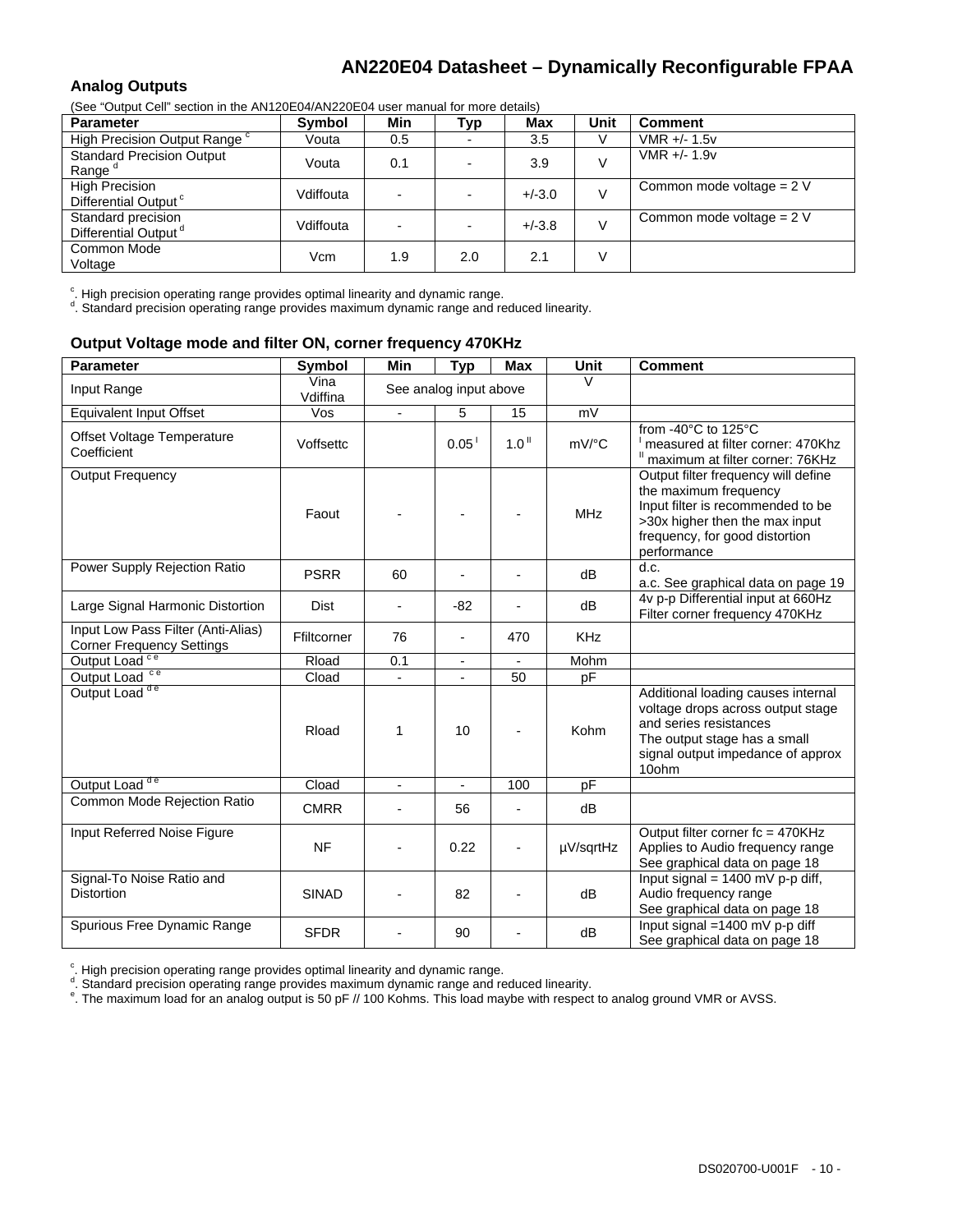#### **Analog Outputs**

(See "Output Cell" section in the AN120E04/AN220E04 user manual for more details)

| <u>ooo oanan ooli oodiidii ili nig mitleged ili nieeged i adol ilialiaal idi iligid adnaldi</u> |           |     |                |            |      |                             |  |  |  |
|-------------------------------------------------------------------------------------------------|-----------|-----|----------------|------------|------|-----------------------------|--|--|--|
| <b>Parameter</b>                                                                                | Symbol    | Min | Тур            | <b>Max</b> | Unit | <b>Comment</b>              |  |  |  |
| High Precision Output Range <sup>c</sup>                                                        | Vouta     | 0.5 |                | 3.5        |      | $VMR + - 1.5v$              |  |  |  |
| <b>Standard Precision Output</b><br>Range <sup>a</sup>                                          | Vouta     | 0.1 | $\blacksquare$ | 3.9        |      | $VMR +/- 1.9v$              |  |  |  |
| <b>High Precision</b><br>Differential Output <sup>c</sup>                                       | Vdiffouta |     | $\blacksquare$ | $+/-3.0$   |      | Common mode voltage = $2 V$ |  |  |  |
| Standard precision<br>Differential Output <sup>d</sup>                                          | Vdiffouta |     | $\blacksquare$ | $+/-3.8$   |      | Common mode voltage = $2 V$ |  |  |  |
| Common Mode<br>Voltage                                                                          | Vcm       | 1.9 | 2.0            | 2.1        |      |                             |  |  |  |

 $\alpha$ . High precision operating range provides optimal linearity and dynamic range.<br> $\beta$  Standard procision operating range provides movimum dynamic range and ra

. Standard precision operating range provides maximum dynamic range and reduced linearity.

#### **Output Voltage mode and filter ON, corner frequency 470KHz**

| <b>Parameter</b>                                                       | Symbol           | Min                      | <b>Typ</b>               | <b>Max</b>        | Unit       | <b>Comment</b>                                                                                                                                                                       |
|------------------------------------------------------------------------|------------------|--------------------------|--------------------------|-------------------|------------|--------------------------------------------------------------------------------------------------------------------------------------------------------------------------------------|
| Input Range                                                            | Vina<br>Vdiffina |                          | See analog input above   |                   | $\vee$     |                                                                                                                                                                                      |
| <b>Equivalent Input Offset</b>                                         | Vos              |                          | 5                        | 15                | mV         |                                                                                                                                                                                      |
| Offset Voltage Temperature<br>Coefficient                              | Voffsettc        |                          | 0.05                     | 1.0 <sup>II</sup> | mV/°C      | from -40°C to 125°C<br>measured at filter corner: 470Khz<br>" maximum at filter corner: 76KHz                                                                                        |
| <b>Output Frequency</b>                                                | Faout            |                          |                          |                   | <b>MHz</b> | Output filter frequency will define<br>the maximum frequency<br>Input filter is recommended to be<br>>30x higher then the max input<br>frequency, for good distortion<br>performance |
| Power Supply Rejection Ratio                                           | <b>PSRR</b>      | 60                       |                          |                   | dB         | d.c.<br>a.c. See graphical data on page 19                                                                                                                                           |
| Large Signal Harmonic Distortion                                       | <b>Dist</b>      |                          | $-82$                    |                   | dB         | 4v p-p Differential input at 660Hz<br>Filter corner frequency 470KHz                                                                                                                 |
| Input Low Pass Filter (Anti-Alias)<br><b>Corner Frequency Settings</b> | Ffiltcorner      | 76                       | $\overline{\phantom{a}}$ | 470               | <b>KHz</b> |                                                                                                                                                                                      |
| Output Load <sup>ce</sup>                                              | Rload            | 0.1                      | $\overline{\phantom{a}}$ |                   | Mohm       |                                                                                                                                                                                      |
| Output Load <sup>ce</sup>                                              | Cload            |                          |                          | 50                | pF         |                                                                                                                                                                                      |
| Output Load <sup>de</sup>                                              | Rload            | 1                        | 10                       |                   | Kohm       | Additional loading causes internal<br>voltage drops across output stage<br>and series resistances<br>The output stage has a small<br>signal output impedance of approx<br>10ohm      |
| Output Load <sup>de</sup>                                              | Cload            | $\overline{\phantom{0}}$ | $\overline{\phantom{a}}$ | 100               | pF         |                                                                                                                                                                                      |
| Common Mode Rejection Ratio                                            | <b>CMRR</b>      |                          | 56                       |                   | dB         |                                                                                                                                                                                      |
| Input Referred Noise Figure                                            | <b>NF</b>        |                          | 0.22                     |                   | µV/sqrtHz  | Output filter corner fc = 470KHz<br>Applies to Audio frequency range<br>See graphical data on page 18                                                                                |
| Signal-To Noise Ratio and<br><b>Distortion</b>                         | <b>SINAD</b>     |                          | 82                       |                   | dB         | Input signal = $1400$ mV p-p diff,<br>Audio frequency range<br>See graphical data on page 18                                                                                         |
| Spurious Free Dynamic Range                                            | <b>SFDR</b>      |                          | 90                       |                   | dB         | Input signal =1400 mV p-p diff<br>See graphical data on page 18                                                                                                                      |

<sup>c</sup>. High precision operating range provides optimal linearity and dynamic range.<br> $d$  Steaderd arasision operating range provides movimum dynamic range and re-

°. Standard precision operating range provides maximum dynamic range and reduced linearity.<br>°. The maximum load for an analog output is 50 pF // 100 Kohms. This load maybe with respect to analog ground VMR or AVSS.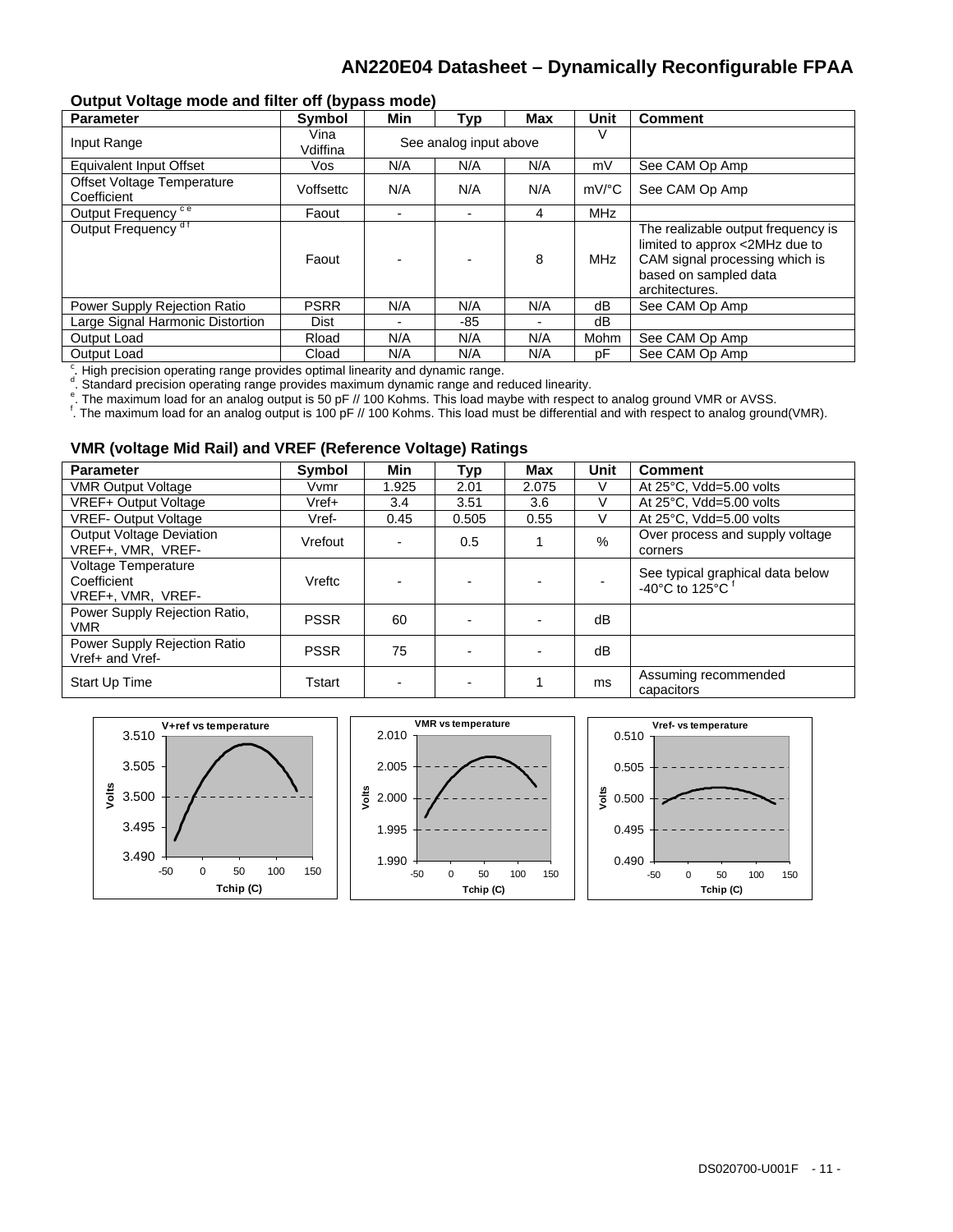#### **Output Voltage mode and filter off (bypass mode)**

| <b>Parameter</b>                          | <b>Symbol</b>    | Min                    | <b>Typ</b>     | Max                      | Unit                | <b>Comment</b>                                                                                                                                    |
|-------------------------------------------|------------------|------------------------|----------------|--------------------------|---------------------|---------------------------------------------------------------------------------------------------------------------------------------------------|
| Input Range                               | Vina<br>Vdiffina | See analog input above |                |                          |                     |                                                                                                                                                   |
| <b>Equivalent Input Offset</b>            | Vos              | N/A                    | N/A            | N/A                      | mV                  | See CAM Op Amp                                                                                                                                    |
| Offset Voltage Temperature<br>Coefficient | Voffsettc        | N/A                    | N/A            | N/A                      | $mV$ <sup>o</sup> C | See CAM Op Amp                                                                                                                                    |
| Output Frequency <sup>ce</sup>            | Faout            |                        | $\blacksquare$ | 4                        | <b>MHz</b>          |                                                                                                                                                   |
| Output Frequency <sup>df</sup>            | Faout            |                        |                | 8                        | MHz                 | The realizable output frequency is<br>limited to approx <2MHz due to<br>CAM signal processing which is<br>based on sampled data<br>architectures. |
| Power Supply Rejection Ratio              | <b>PSRR</b>      | N/A                    | N/A            | N/A                      | dB                  | See CAM Op Amp                                                                                                                                    |
| Large Signal Harmonic Distortion          | Dist             |                        | -85            | $\overline{\phantom{0}}$ | dB                  |                                                                                                                                                   |
| Output Load                               | Rload            | N/A                    | N/A            | N/A                      | Mohm                | See CAM Op Amp                                                                                                                                    |
| Output Load                               | Cload            | N/A                    | N/A            | N/A                      | рF                  | See CAM Op Amp                                                                                                                                    |

<sup>c</sup>. High precision operating range provides optimal linearity and dynamic range.<br>declination operating range provides movimum dynamic range and ra

 $\alpha$ . Standard precision operating range provides maximum dynamic range and reduced linearity.<br>E The maximum load for an angles output is 50 pE // 100 Kehma. This load maybe with respect

. Standard precision operating range provided maximum synamic range and respect in respect to analog ground VMR or AVSS.

. The maximum load for an analog output is 100 pF // 100 Kohms. This load must be differential and with respect to analog ground(VMR).

#### **VMR (voltage Mid Rail) and VREF (Reference Voltage) Ratings**

| <b>Parameter</b>                                        | <b>Symbol</b> | Min   | Typ                      | Max   | Unit | <b>Comment</b>                                                             |
|---------------------------------------------------------|---------------|-------|--------------------------|-------|------|----------------------------------------------------------------------------|
| <b>VMR Output Voltage</b>                               | Vvmr          | 1.925 | 2.01                     | 2.075 |      | At 25°C, Vdd=5.00 volts                                                    |
| <b>VREF+ Output Voltage</b>                             | $Vref+$       | 3.4   | 3.51                     | 3.6   |      | At 25°C, Vdd=5.00 volts                                                    |
| <b>VREF-Output Voltage</b>                              | Vref-         | 0.45  | 0.505                    | 0.55  |      | At 25°C, Vdd=5.00 volts                                                    |
| <b>Output Voltage Deviation</b><br>VREF+, VMR, VREF-    | Vrefout       |       | 0.5                      |       | $\%$ | Over process and supply voltage<br>corners                                 |
| Voltage Temperature<br>Coefficient<br>VREF+, VMR, VREF- | Vreftc        |       | $\overline{\phantom{0}}$ |       |      | See typical graphical data below<br>-40 $^{\circ}$ C to 125 $^{\circ}$ C f |
| Power Supply Rejection Ratio,<br><b>VMR</b>             | <b>PSSR</b>   | 60    |                          |       | dB   |                                                                            |
| Power Supply Rejection Ratio<br>Vref+ and Vref-         | <b>PSSR</b>   | 75    |                          |       | dB   |                                                                            |
| Start Up Time                                           | Tstart        |       | $\blacksquare$           |       | ms   | Assuming recommended<br>capacitors                                         |

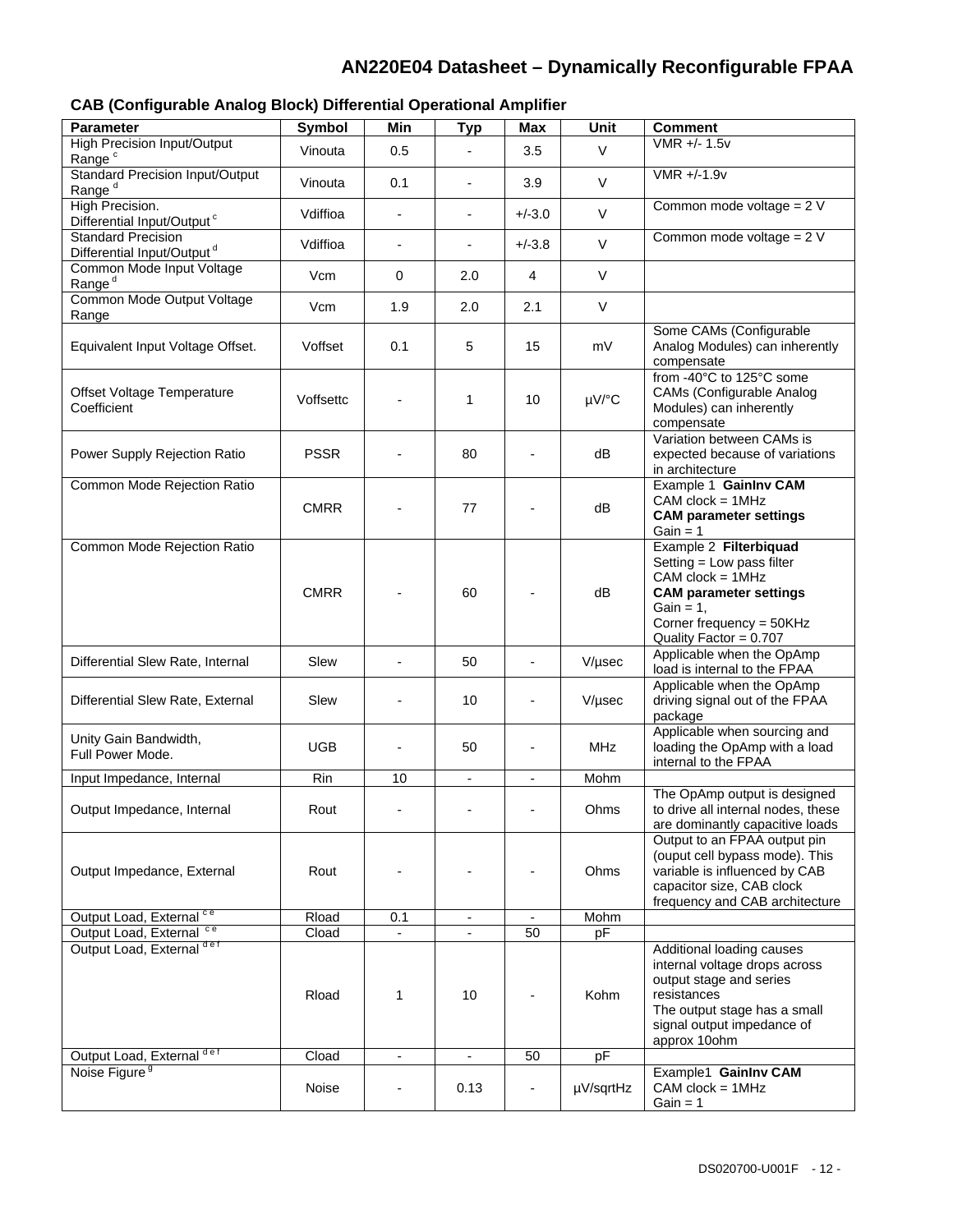### **CAB (Configurable Analog Block) Differential Operational Amplifier**

| <b>Parameter</b>                                                    | <b>Symbol</b>  | Min                      | <b>Typ</b>               | Max                      | <b>Unit</b> | <b>Comment</b>                                                                                                                                                                     |
|---------------------------------------------------------------------|----------------|--------------------------|--------------------------|--------------------------|-------------|------------------------------------------------------------------------------------------------------------------------------------------------------------------------------------|
| High Precision Input/Output<br>Range <sup>c</sup>                   | Vinouta        | 0.5                      |                          | 3.5                      | $\vee$      | VMR +/- 1.5v                                                                                                                                                                       |
| <b>Standard Precision Input/Output</b><br>Range <sup>d</sup>        | Vinouta        | 0.1                      | $\overline{\phantom{a}}$ | 3.9                      | $\vee$      | VMR +/-1.9v                                                                                                                                                                        |
| High Precision.<br>Differential Input/Output <sup>c</sup>           | Vdiffioa       | $\overline{\phantom{a}}$ | $\overline{\phantom{a}}$ | $+/-3.0$                 | $\vee$      | Common mode voltage = $2 V$                                                                                                                                                        |
| <b>Standard Precision</b><br>Differential Input/Output <sup>d</sup> | Vdiffioa       |                          | $\overline{\phantom{a}}$ | $+/-3.8$                 | $\vee$      | Common mode voltage = 2 V                                                                                                                                                          |
| Common Mode Input Voltage<br>Range <sup>d</sup>                     | Vcm            | $\mathbf 0$              | 2.0                      | 4                        | $\vee$      |                                                                                                                                                                                    |
| Common Mode Output Voltage<br>Range                                 | Vcm            | 1.9                      | 2.0                      | 2.1                      | V           |                                                                                                                                                                                    |
| Equivalent Input Voltage Offset.                                    | Voffset        | 0.1                      | 5                        | 15                       | mV          | Some CAMs (Configurable<br>Analog Modules) can inherently<br>compensate                                                                                                            |
| Offset Voltage Temperature<br>Coefficient                           | Voffsettc      |                          | 1                        | 10                       | µV/°C       | from -40°C to 125°C some<br>CAMs (Configurable Analog<br>Modules) can inherently<br>compensate                                                                                     |
| Power Supply Rejection Ratio                                        | <b>PSSR</b>    |                          | 80                       | -                        | dB          | Variation between CAMs is<br>expected because of variations<br>in architecture                                                                                                     |
| Common Mode Rejection Ratio                                         | <b>CMRR</b>    |                          | 77                       |                          | dB          | Example 1 Gainlny CAM<br>$CAM \, clock = 1MHz$<br><b>CAM parameter settings</b><br>Gain = $1$                                                                                      |
| Common Mode Rejection Ratio                                         | <b>CMRR</b>    |                          | 60                       |                          | dB          | Example 2 Filterbiquad<br>Setting = Low pass filter<br>$CAM clock = 1MHz$<br><b>CAM parameter settings</b><br>$Gain = 1$ ,<br>Corner frequency = 50KHz<br>Quality Factor = 0.707   |
| Differential Slew Rate, Internal                                    | Slew           |                          | 50                       | $\blacksquare$           | V/µsec      | Applicable when the OpAmp<br>load is internal to the FPAA                                                                                                                          |
| Differential Slew Rate, External                                    | Slew           |                          | 10                       |                          | V/µsec      | Applicable when the OpAmp<br>driving signal out of the FPAA<br>package                                                                                                             |
| Unity Gain Bandwidth,<br>Full Power Mode.                           | UGB            |                          | 50                       |                          | <b>MHz</b>  | Applicable when sourcing and<br>loading the OpAmp with a load<br>internal to the FPAA                                                                                              |
| Input Impedance, Internal                                           | Rin            | 10                       | $\overline{\phantom{a}}$ | $\overline{\phantom{a}}$ | Mohm        |                                                                                                                                                                                    |
| Output Impedance, Internal                                          | Rout           |                          |                          |                          | Ohms        | The OpAmp output is designed<br>to drive all internal nodes, these<br>are dominantly capacitive loads                                                                              |
| Output Impedance, External                                          | Rout           |                          |                          |                          | Ohms        | Output to an FPAA output pin<br>(ouput cell bypass mode). This<br>variable is influenced by CAB<br>capacitor size, CAB clock<br>frequency and CAB architecture                     |
| Output Load, External ce                                            | Rload          | 0.1                      | $\overline{\phantom{a}}$ |                          | Mohm        |                                                                                                                                                                                    |
| Output Load, External ce<br>Output Load, External def               | Cload<br>Rload | 1                        | 10                       | 50                       | pF<br>Kohm  | Additional loading causes<br>internal voltage drops across<br>output stage and series<br>resistances<br>The output stage has a small<br>signal output impedance of<br>approx 10ohm |
| Output Load, External def                                           | Cload          | $\overline{\phantom{a}}$ | $\overline{\phantom{a}}$ | 50                       | pF          |                                                                                                                                                                                    |
| Noise Figure <sup>9</sup>                                           | Noise          |                          | 0.13                     | $\blacksquare$           | µV/sqrtHz   | Example1 GainInv CAM<br>$CAM clock = 1MHz$<br>Gain = $1$                                                                                                                           |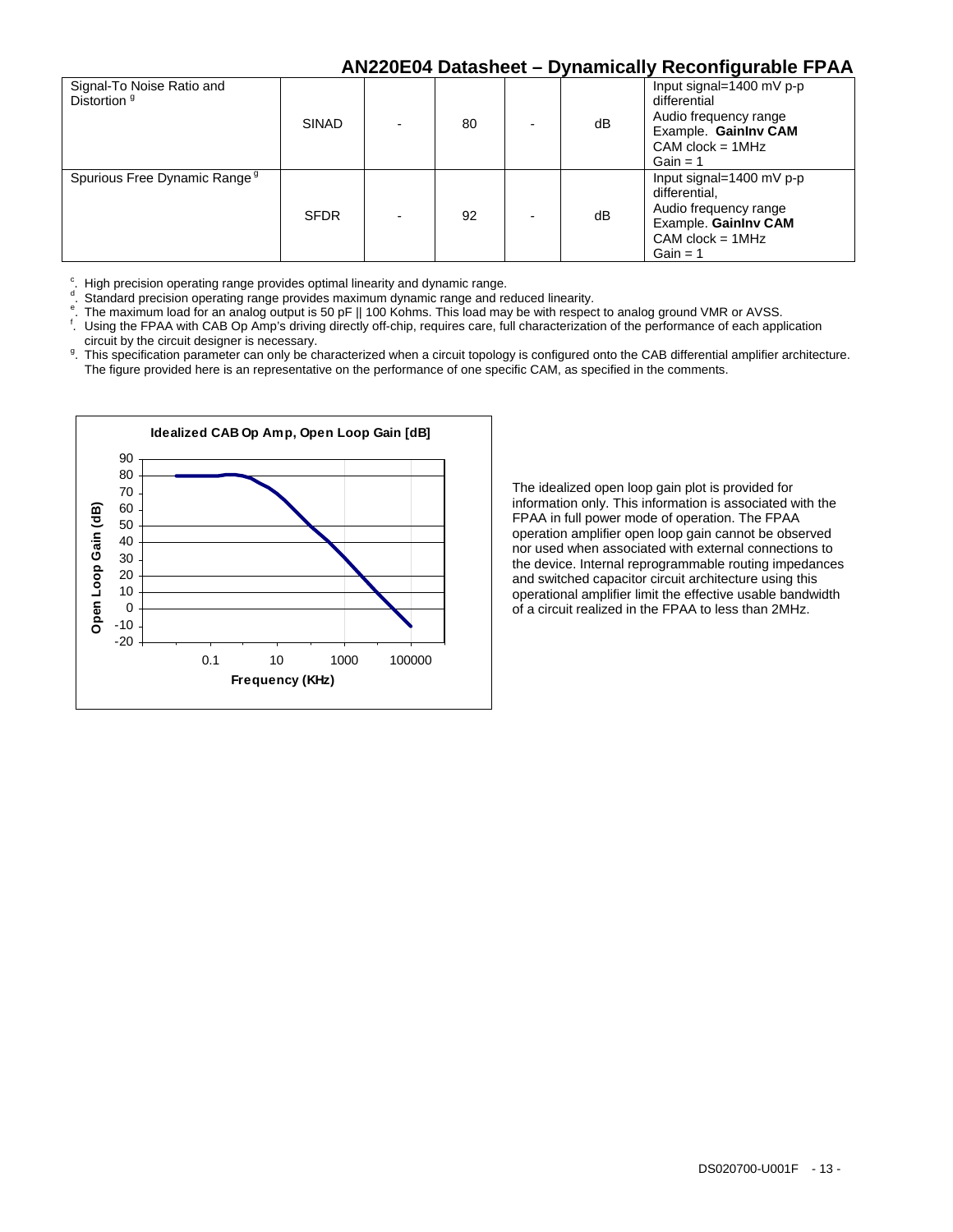|                                                      |              |    |                          |    | . .                                                                                                                            |
|------------------------------------------------------|--------------|----|--------------------------|----|--------------------------------------------------------------------------------------------------------------------------------|
| Signal-To Noise Ratio and<br>Distortion <sup>9</sup> | <b>SINAD</b> | 80 |                          | dB | Input signal=1400 mV p-p<br>differential<br>Audio frequency range<br>Example. GainInv CAM<br>$CAM clock = 1MHz$<br>Gain = $1$  |
| Spurious Free Dynamic Range <sup>9</sup>             | <b>SFDR</b>  | 92 | $\overline{\phantom{0}}$ | dB | Input signal=1400 mV p-p<br>differential.<br>Audio frequency range<br>Example. GainInv CAM<br>$CAM clock = 1MHz$<br>Gain = $1$ |

 $\frac{c}{d}$ High precision operating range provides optimal linearity and dynamic range.

Standard precision operating range provides maximum dynamic range and reduced linearity.

The maximum load for an analog output is 50 pF || 100 Kohms. This load may be with respect to analog ground VMR or AVSS.

- . Using the FPAA with CAB Op Amp's driving directly off-chip, requires care, full characterization of the performance of each application circuit by the circuit designer is necessary.<br><sup>9</sup>. This specification parameter can only be ch
- . This specification parameter can only be characterized when a circuit topology is configured onto the CAB differential amplifier architecture. The figure provided here is an representative on the performance of one specific CAM, as specified in the comments.



The idealized open loop gain plot is provided for information only. This information is associated with the FPAA in full power mode of operation. The FPAA operation amplifier open loop gain cannot be observed nor used when associated with external connections to the device. Internal reprogrammable routing impedances and switched capacitor circuit architecture using this operational amplifier limit the effective usable bandwidth of a circuit realized in the FPAA to less than 2MHz.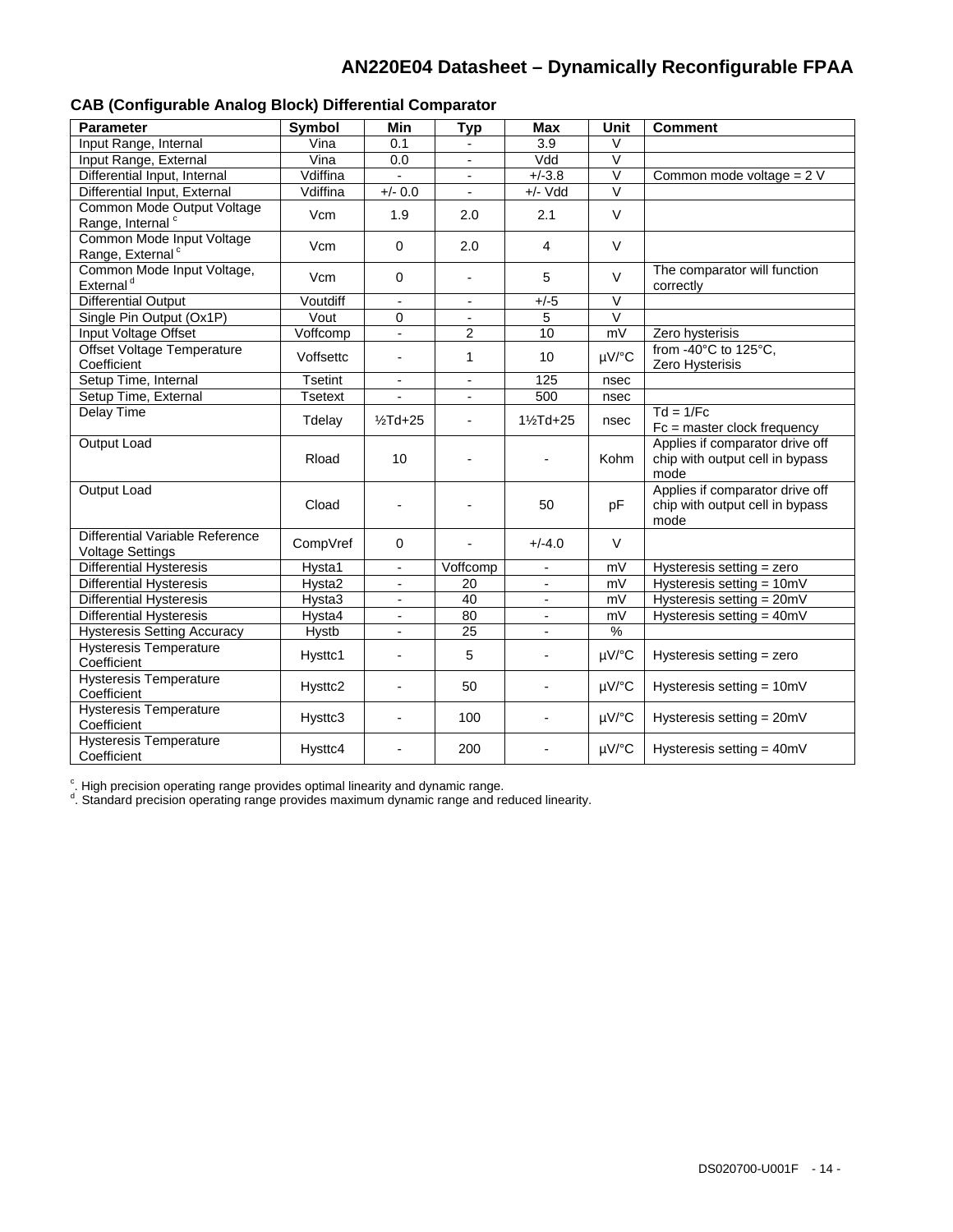| ond (conniguidate midiog Diock) Dincremial Comparator      |                |                          |                 |                          |                   |                                                                            |
|------------------------------------------------------------|----------------|--------------------------|-----------------|--------------------------|-------------------|----------------------------------------------------------------------------|
| <b>Parameter</b>                                           | Symbol         | <b>Min</b>               | <b>Typ</b>      | <b>Max</b>               | Unit              | <b>Comment</b>                                                             |
| Input Range, Internal                                      | Vina           | 0.1                      |                 | 3.9                      | V                 |                                                                            |
| Input Range, External                                      | Vina           | 0.0                      |                 | Vdd                      | $\overline{\vee}$ |                                                                            |
| Differential Input, Internal                               | Vdiffina       | L.                       | $\overline{a}$  | $+/-3.8$                 | $\overline{\vee}$ | Common mode voltage = 2 V                                                  |
| Differential Input, External                               | Vdiffina       | $+/- 0.0$                | $\blacksquare$  | $+/-$ Vdd                | V                 |                                                                            |
| Common Mode Output Voltage<br>Range, Internal <sup>c</sup> | Vcm            | 1.9                      | 2.0             | 2.1                      | $\vee$            |                                                                            |
| Common Mode Input Voltage<br>Range, External <sup>c</sup>  | Vcm            | $\mathbf 0$              | 2.0             | $\overline{4}$           | $\vee$            |                                                                            |
| Common Mode Input Voltage,<br>External <sup>d</sup>        | Vcm            | $\mathbf 0$              |                 | 5                        | $\vee$            | The comparator will function<br>correctly                                  |
| <b>Differential Output</b>                                 | Voutdiff       | $\overline{\phantom{a}}$ | $\blacksquare$  | $+/-5$                   | V                 |                                                                            |
| Single Pin Output (Ox1P)                                   | Vout           | 0                        |                 | $\overline{5}$           | $\overline{\vee}$ |                                                                            |
| Input Voltage Offset                                       | Voffcomp       | $\overline{a}$           | 2               | 10                       | mV                | Zero hysterisis                                                            |
| <b>Offset Voltage Temperature</b><br>Coefficient           | Voffsettc      | $\frac{1}{2}$            | 1               | 10                       | µV/°C             | from -40°C to 125°C,<br>Zero Hysterisis                                    |
| Setup Time, Internal                                       | <b>Tsetint</b> | $\overline{\phantom{a}}$ | $\blacksquare$  | 125                      | nsec              |                                                                            |
| Setup Time, External                                       | <b>Tsetext</b> |                          |                 | 500                      | nsec              |                                                                            |
| Delay Time                                                 | Tdelay         | $1/2$ Td+25              | $\overline{a}$  | 11/ <sub>2</sub> Td+25   | nsec              | $Td = 1/Fc$<br>$Fc = master clock frequency$                               |
| Output Load                                                | Rload          | 10                       |                 |                          | Kohm              | Applies if comparator drive off<br>chip with output cell in bypass<br>mode |
| Output Load                                                | Cload          | $\overline{\phantom{a}}$ |                 | 50                       | pF                | Applies if comparator drive off<br>chip with output cell in bypass<br>mode |
| Differential Variable Reference<br><b>Voltage Settings</b> | CompVref       | $\Omega$                 |                 | $+/-4.0$                 | $\vee$            |                                                                            |
| <b>Differential Hysteresis</b>                             | Hysta1         | $\frac{1}{2}$            | Voffcomp        | $\overline{\phantom{0}}$ | mV                | Hysteresis setting = zero                                                  |
| <b>Differential Hysteresis</b>                             | Hysta2         | $\overline{\phantom{0}}$ | 20              | $\overline{\phantom{a}}$ | mV                | Hysteresis setting = $10mV$                                                |
| <b>Differential Hysteresis</b>                             | Hysta3         | $\overline{\phantom{a}}$ | 40              | $\overline{\phantom{a}}$ | mV                | Hysteresis setting = 20mV                                                  |
| <b>Differential Hysteresis</b>                             | Hysta4         | $\overline{\phantom{0}}$ | 80              | $\overline{\phantom{0}}$ | mV                | Hysteresis setting = 40mV                                                  |
| <b>Hysteresis Setting Accuracy</b>                         | Hystb          |                          | $\overline{25}$ |                          | %                 |                                                                            |
| <b>Hysteresis Temperature</b><br>Coefficient               | Hysttc1        | $\overline{\phantom{0}}$ | 5               | ٠                        | µV/°C             | Hysteresis setting $=$ zero                                                |
| <b>Hysteresis Temperature</b><br>Coefficient               | Hysttc2        | L,                       | 50              | L,                       | $\mu V$ /°C       | Hysteresis setting = 10mV                                                  |
| <b>Hysteresis Temperature</b><br>Coefficient               | Hysttc3        | L,                       | 100             |                          | µV/°C             | Hysteresis setting = 20mV                                                  |
| <b>Hysteresis Temperature</b><br>Coefficient               | Hysttc4        |                          | 200             |                          | µV/°C             | Hysteresis setting = $40mV$                                                |

|  |  |  |  |  | <b>CAB (Configurable Analog Block) Differential Comparator</b> |
|--|--|--|--|--|----------------------------------------------------------------|
|--|--|--|--|--|----------------------------------------------------------------|

°. High precision operating range provides optimal linearity and dynamic range.<br><sup>d</sup>. Standard precision operating range provides maximum dynamic range and reduced linearity.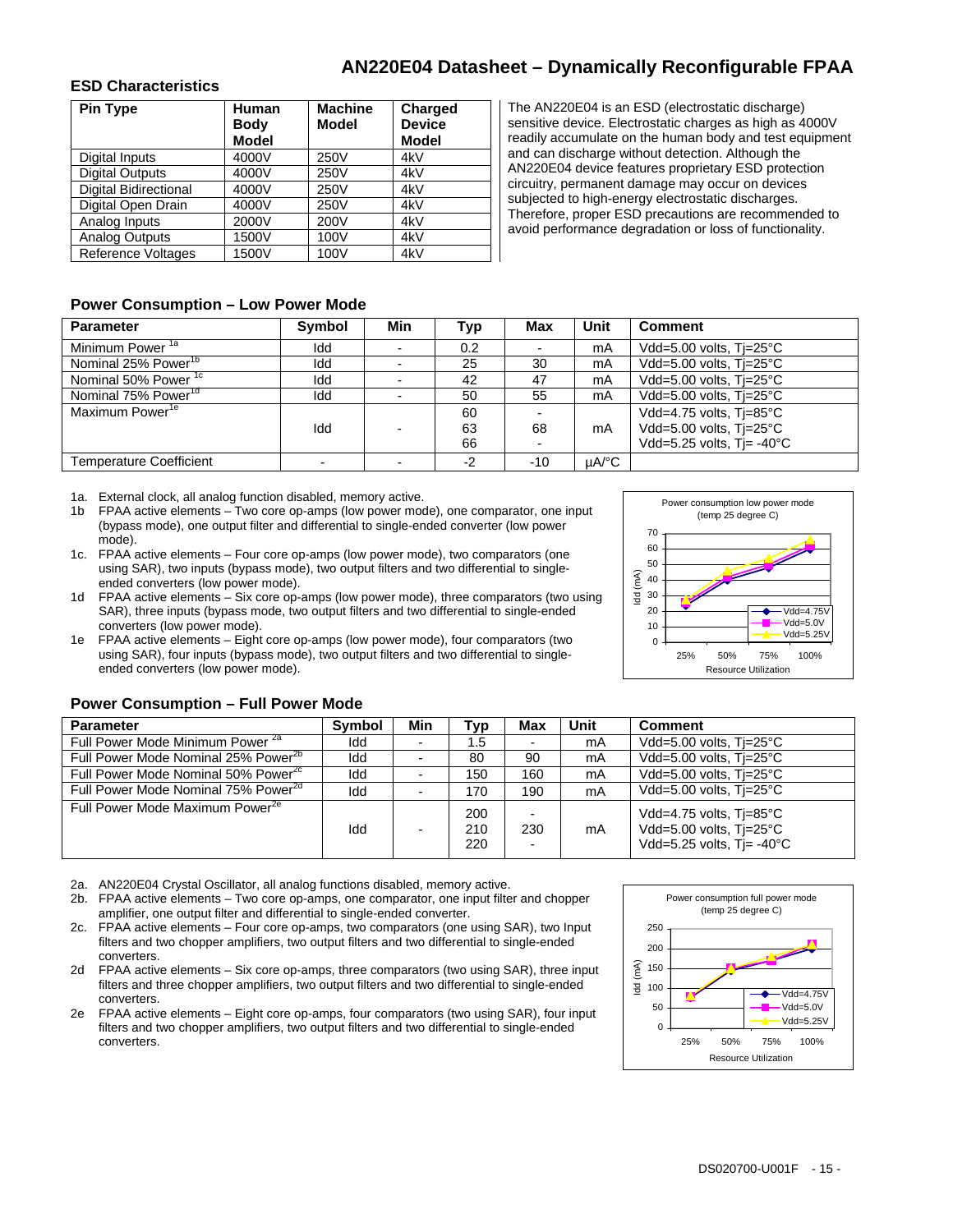#### **ESD Characteristics**

| <b>Pin Type</b>              | Human<br><b>Body</b> | <b>Machine</b><br>Model | Charged<br><b>Device</b> |
|------------------------------|----------------------|-------------------------|--------------------------|
|                              | <b>Model</b>         |                         | <b>Model</b>             |
| Digital Inputs               | 4000V                | 250V                    | 4kV                      |
| <b>Digital Outputs</b>       | 4000V                | 250V                    | 4kV                      |
| <b>Digital Bidirectional</b> | 4000V                | 250V                    | 4kV                      |
| Digital Open Drain           | 4000V                | 250V                    | 4kV                      |
| Analog Inputs                | 2000V                | 200V                    | 4kV                      |
| Analog Outputs               | 1500V                | 100V                    | 4kV                      |
| <b>Reference Voltages</b>    | 1500V                | 100V                    | 4kV                      |

The AN220E04 is an ESD (electrostatic discharge) sensitive device. Electrostatic charges as high as 4000V readily accumulate on the human body and test equipment and can discharge without detection. Although the AN220E04 device features proprietary ESD protection circuitry, permanent damage may occur on devices subjected to high-energy electrostatic discharges. Therefore, proper ESD precautions are recommended to avoid performance degradation or loss of functionality.

#### **Power Consumption – Low Power Mode**

| <b>Parameter</b>                | <b>Symbol</b> | Min | Typ  | Max   | Unit  | <b>Comment</b>                       |
|---------------------------------|---------------|-----|------|-------|-------|--------------------------------------|
| Minimum Power <sup>1a</sup>     | Idd           |     | 0.2  |       | mA    | Vdd=5.00 volts, Ti=25°C              |
| Nominal 25% Power <sup>1b</sup> | Idd           |     | 25   | 30    | mA    | Vdd=5.00 volts, Tj=25°C              |
| Nominal 50% Power <sup>1c</sup> | Idd           |     | 42   | -47   | mA    | Vdd=5.00 volts, Tj=25°C              |
| Nominal 75% Power <sup>1d</sup> | Idd           |     | 50   | 55    | mA    | Vdd=5.00 volts, Tj=25°C              |
| Maximum Power <sup>1e</sup>     |               |     | 60   |       |       | Vdd=4.75 volts, Tj=85°C              |
|                                 | Idd           |     | 63   | 68    | mA    | Vdd=5.00 volts, Ti=25°C              |
|                                 |               |     | 66   |       |       | Vdd=5.25 volts, $Ti = -40^{\circ}$ C |
| <b>Temperature Coefficient</b>  |               |     | $-2$ | $-10$ | uA/°C |                                      |

1a. External clock, all analog function disabled, memory active.

- 1b FPAA active elements Two core op-amps (low power mode), one comparator, one input (bypass mode), one output filter and differential to single-ended converter (low power mode).
- 1c. FPAA active elements Four core op-amps (low power mode), two comparators (one using SAR), two inputs (bypass mode), two output filters and two differential to singleended converters (low power mode).
- 1d FPAA active elements Six core op-amps (low power mode), three comparators (two using SAR), three inputs (bypass mode, two output filters and two differential to single-ended converters (low power mode).
- 1e FPAA active elements Eight core op-amps (low power mode), four comparators (two using SAR), four inputs (bypass mode), two output filters and two differential to singleended converters (low power mode).



#### **Power Consumption – Full Power Mode**

| <b>Parameter</b>                                | Symbol | Min | Typ               | Max           | Unit | <b>Comment</b>                                                                             |
|-------------------------------------------------|--------|-----|-------------------|---------------|------|--------------------------------------------------------------------------------------------|
| Full Power Mode Minimum Power <sup>2a</sup>     | Idd    |     | . 5               | $\sim$        | mA   | Vdd=5.00 volts, Ti=25°C                                                                    |
| Full Power Mode Nominal 25% Power <sup>2b</sup> | Idd    |     | 80                | 90            | mA   | Vdd=5.00 volts, Tj=25°C                                                                    |
| Full Power Mode Nominal 50% Power <sup>2c</sup> | Idd    |     | 150               | 160           | mA   | Vdd=5.00 volts, Ti=25°C                                                                    |
| Full Power Mode Nominal 75% Power <sup>2d</sup> | Idd    |     | 170               | 190           | mA   | Vdd=5.00 volts, Ti=25°C                                                                    |
| Full Power Mode Maximum Power <sup>2e</sup>     | Idd    |     | 200<br>210<br>220 | ٠<br>230<br>٠ | mA   | Vdd=4.75 volts, Tj=85°C<br>Vdd=5.00 volts, Ti=25°C<br>Vdd=5.25 volts, $Ti = -40^{\circ}$ C |

2a. AN220E04 Crystal Oscillator, all analog functions disabled, memory active.

2b. FPAA active elements – Two core op-amps, one comparator, one input filter and chopper amplifier, one output filter and differential to single-ended converter.

2c. FPAA active elements – Four core op-amps, two comparators (one using SAR), two Input filters and two chopper amplifiers, two output filters and two differential to single-ended converters.

- 2d FPAA active elements Six core op-amps, three comparators (two using SAR), three input filters and three chopper amplifiers, two output filters and two differential to single-ended converters.
- 2e FPAA active elements Eight core op-amps, four comparators (two using SAR), four input filters and two chopper amplifiers, two output filters and two differential to single-ended converters.

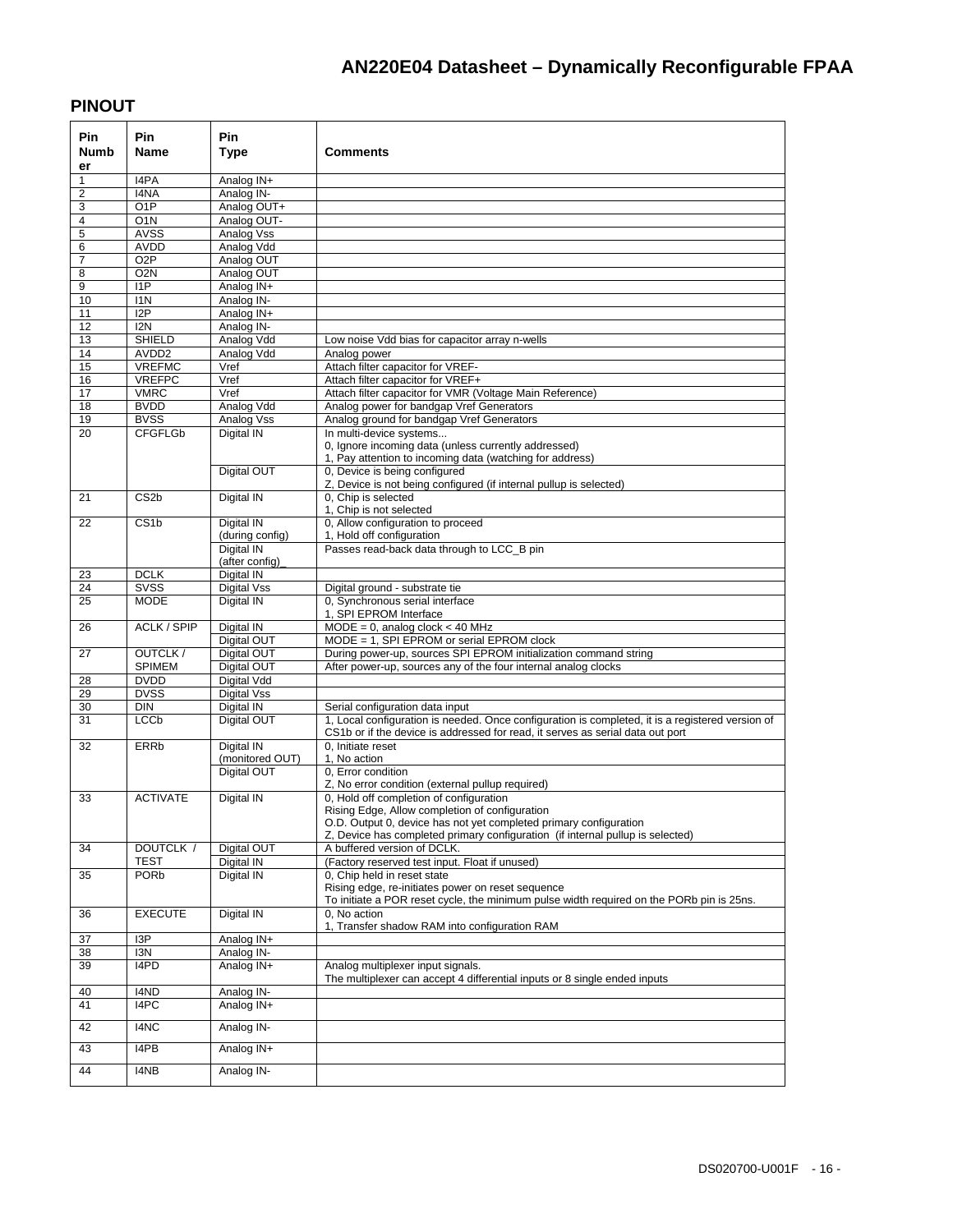### **PINOUT**

| <b>Pin</b><br>Numb<br>er | <b>Pin</b><br><b>Name</b>            | Pin.<br><b>Type</b>           | Comments                                                                                                                                                                           |
|--------------------------|--------------------------------------|-------------------------------|------------------------------------------------------------------------------------------------------------------------------------------------------------------------------------|
| 1                        | I4PA                                 | Analog IN+                    |                                                                                                                                                                                    |
| 2                        | I4NA                                 | Analog IN-                    |                                                                                                                                                                                    |
| 3                        | O <sub>1</sub> P                     | Analog OUT+                   |                                                                                                                                                                                    |
| 4                        | O <sub>1</sub> N                     | Analog OUT-                   |                                                                                                                                                                                    |
| 5                        | AVSS                                 | Analog Vss                    |                                                                                                                                                                                    |
| 6                        | AVDD                                 | Analog Vdd                    |                                                                                                                                                                                    |
| 7                        | O <sub>2</sub> P<br>O <sub>2</sub> N | Analog OUT                    |                                                                                                                                                                                    |
| 8<br>9                   | 11P                                  | Analog OUT<br>Analog IN+      |                                                                                                                                                                                    |
| 10                       | I <sub>1</sub> N                     | Analog IN-                    |                                                                                                                                                                                    |
| 11                       | 12P                                  | Analog IN+                    |                                                                                                                                                                                    |
| 12                       | I <sub>2N</sub>                      | Analog IN-                    |                                                                                                                                                                                    |
| 13                       | <b>SHIELD</b>                        | Analog Vdd                    | Low noise Vdd bias for capacitor array n-wells                                                                                                                                     |
| 14                       | AVDD <sub>2</sub>                    | Analog Vdd                    | Analog power                                                                                                                                                                       |
| 15                       | <b>VREFMC</b>                        | Vref                          | Attach filter capacitor for VREF-                                                                                                                                                  |
| 16                       | <b>VREFPC</b>                        | Vref                          | Attach filter capacitor for VREF+                                                                                                                                                  |
| 17                       | <b>VMRC</b>                          | Vref                          | Attach filter capacitor for VMR (Voltage Main Reference)                                                                                                                           |
| 18                       | <b>BVDD</b>                          | Analog Vdd                    | Analog power for bandgap Vref Generators                                                                                                                                           |
| 19                       | <b>BVSS</b>                          | Analog Vss                    | Analog ground for bandgap Vref Generators                                                                                                                                          |
| 20                       | <b>CFGFLGb</b>                       | Digital IN                    | In multi-device systems<br>0, Ignore incoming data (unless currently addressed)<br>1, Pay attention to incoming data (watching for address)                                        |
|                          |                                      | Digital OUT                   | 0, Device is being configured<br>Z, Device is not being configured (if internal pullup is selected)                                                                                |
| 21                       | CS <sub>2</sub> b                    | <b>Digital IN</b>             | 0, Chip is selected<br>1, Chip is not selected                                                                                                                                     |
| 22                       | CS <sub>1</sub> b                    | Digital IN                    | 0, Allow configuration to proceed                                                                                                                                                  |
|                          |                                      | (during config)               | 1, Hold off configuration                                                                                                                                                          |
|                          |                                      | Digital IN                    | Passes read-back data through to LCC B pin                                                                                                                                         |
|                          |                                      | (after config)                |                                                                                                                                                                                    |
| 23                       | <b>DCLK</b>                          | Digital IN                    |                                                                                                                                                                                    |
| $\overline{24}$          | SVSS                                 | Digital Vss                   | Digital ground - substrate tie                                                                                                                                                     |
| 25                       | <b>MODE</b>                          | Digital IN                    | 0. Synchronous serial interface<br>1, SPI EPROM Interface                                                                                                                          |
| 26                       | <b>ACLK / SPIP</b>                   | Digital IN<br>Digital OUT     | $MODE = 0$ , analog clock < 40 MHz<br>MODE = 1, SPI EPROM or serial EPROM clock                                                                                                    |
| 27                       | OUTCLK/                              | Digital OUT                   | During power-up, sources SPI EPROM initialization command string                                                                                                                   |
|                          | <b>SPIMEM</b>                        | Digital OUT                   | After power-up, sources any of the four internal analog clocks                                                                                                                     |
| 28                       | <b>DVDD</b>                          | <b>Digital Vdd</b>            |                                                                                                                                                                                    |
| 29                       | <b>DVSS</b>                          | <b>Digital Vss</b>            |                                                                                                                                                                                    |
| 30                       | <b>DIN</b>                           | Digital IN                    | Serial configuration data input                                                                                                                                                    |
| 31                       | <b>LCC<sub>p</sub></b>               | Digital OUT                   | 1, Local configuration is needed. Once configuration is completed, it is a registered version of<br>CS1b or if the device is addressed for read, it serves as serial data out port |
| 32                       | <b>ERRb</b>                          | Digital IN<br>(monitored OUT) | 0, Initiate reset<br>1, No action                                                                                                                                                  |
|                          |                                      | Digital OUT                   | 0, Error condition                                                                                                                                                                 |
|                          |                                      |                               | Z, No error condition (external pullup required)                                                                                                                                   |
| 33                       | <b>ACTIVATE</b>                      | Digital IN                    | 0, Hold off completion of configuration                                                                                                                                            |
|                          |                                      |                               | Rising Edge, Allow completion of configuration                                                                                                                                     |
|                          |                                      |                               | O.D. Output 0, device has not yet completed primary configuration                                                                                                                  |
|                          |                                      |                               | Z. Device has completed primary configuration (if internal pullup is selected)                                                                                                     |
| 34                       | DOUTCLK /                            | Digital OUT                   | A buffered version of DCLK.                                                                                                                                                        |
|                          | <b>TEST</b>                          | Digital IN                    | (Factory reserved test input. Float if unused)                                                                                                                                     |
| 35                       | PORb                                 | Digital IN                    | 0, Chip held in reset state<br>Rising edge, re-initiates power on reset sequence<br>To initiate a POR reset cycle, the minimum pulse width required on the PORb pin is 25ns.       |
| 36                       | <b>EXECUTE</b>                       | Digital IN                    | 0, No action<br>1, Transfer shadow RAM into configuration RAM                                                                                                                      |
| 37                       | I <sub>3</sub> P                     | Analog IN+                    |                                                                                                                                                                                    |
| 38                       | I3N                                  | Analog IN-                    |                                                                                                                                                                                    |
| 39                       | I4PD                                 | Analog IN+                    | Analog multiplexer input signals.<br>The multiplexer can accept 4 differential inputs or 8 single ended inputs                                                                     |
| 40                       | I4ND                                 | Analog IN-                    |                                                                                                                                                                                    |
| 41                       | I4PC                                 | Analog IN+                    |                                                                                                                                                                                    |
| 42                       | I4NC                                 | Analog IN-                    |                                                                                                                                                                                    |
| 43                       | I4PB                                 | Analog IN+                    |                                                                                                                                                                                    |
| 44                       | I4NB                                 | Analog IN-                    |                                                                                                                                                                                    |
|                          |                                      |                               |                                                                                                                                                                                    |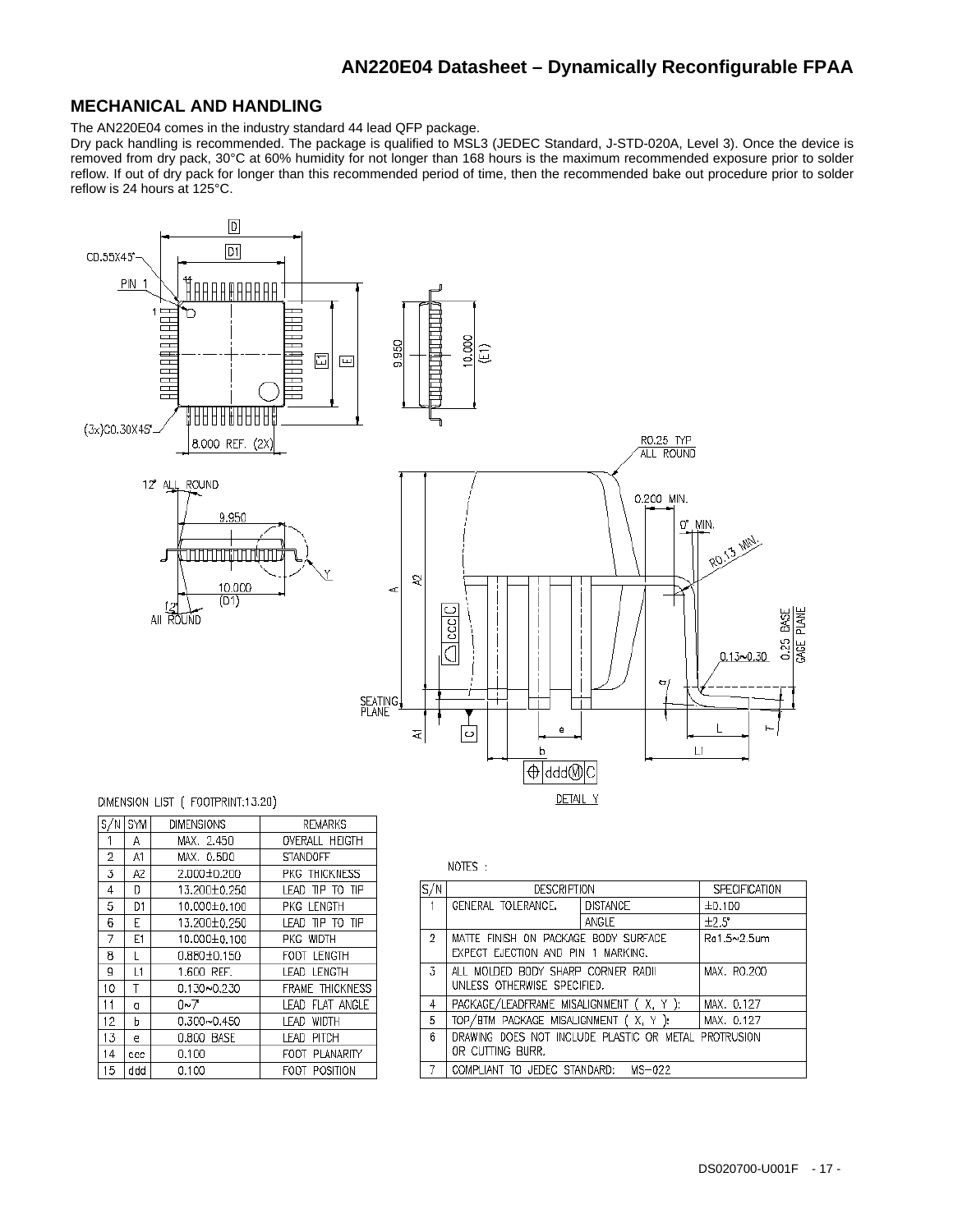#### **MECHANICAL AND HANDLING**

The AN220E04 comes in the industry standard 44 lead QFP package.

Dry pack handling is recommended. The package is qualified to MSL3 (JEDEC Standard, J-STD-020A, Level 3). Once the device is removed from dry pack, 30°C at 60% humidity for not longer than 168 hours is the maximum recommended exposure prior to solder reflow. If out of dry pack for longer than this recommended period of time, then the recommended bake out procedure prior to solder reflow is 24 hours at 125°C.



| S/NI      | SYM            | <b>DIMENSIONS</b> | <b>REMARKS</b>        |
|-----------|----------------|-------------------|-----------------------|
| 1         | Α              | MAX. 2.450        | <b>OVERALL HEIGTH</b> |
| 2         | A1             | MAX. 0.5DO        | <b>STANDOFF</b>       |
| 3         | A2             | 2.000±0.200       | PKG THICKNESS         |
| 4         | D              | 13.200±0.250      | LEAD TIP TO TIP       |
| 5         | D1             | 10.000±0.100      | PKG LENGTH            |
| 6         | E              | 13.200±0.250      | LEAD TIP TO TIP       |
| 7         | E <sub>1</sub> | 10.000±0.100      | PKG WIDTH             |
| 8         | L              | 0.880±0.150       | FODT LENGTH           |
| g         | L1             | 1.600 REF.        | LEAD LENGTH           |
| 10        | Τ              | 0.130~0.230       | FRAME THICKNESS       |
| 11        | O              | በ~ፖ               | LEAD FLAT ANGLE       |
| $12^{12}$ | h              | 0.300~0.450       | WIDTH<br>LEAD.        |
| 13        | e              | 0.800 BASE        | LEAD PITCH            |
| 14        | ccc            | 0.100             | FOOT PLANARITY        |
| 15        | ddd            | 0.100             | POSITION<br>FODT      |

|  |  | N۲<br>Я | ŀ |  |
|--|--|---------|---|--|
|--|--|---------|---|--|

| S/N                                                      | <b>DESCRIPTION</b>                                   |              | SPECIFICATION |  |  |  |  |
|----------------------------------------------------------|------------------------------------------------------|--------------|---------------|--|--|--|--|
| $\mathbf{1}$                                             | GENERAL TOLERANCE.                                   | I DISTANCE   | ±0.100        |  |  |  |  |
|                                                          |                                                      | $±7.5^\circ$ |               |  |  |  |  |
| 2<br>MATTE FINISH ON PACKAGE BODY SURFACE<br>Ra1.5~2.5um |                                                      |              |               |  |  |  |  |
|                                                          | EXPECT EJECTION AND PIN 1 MARKING.                   |              |               |  |  |  |  |
| 3.                                                       | ALL MOLDED BODY SHARP CORNER RADII                   |              | MAX. RO.200   |  |  |  |  |
|                                                          | UNLESS OTHERWISE SPECIFIED.                          |              |               |  |  |  |  |
| 4                                                        | PACKAGE/LEADFRAME MISALIGNMENT (X, Y):               |              | MAX. 0.127    |  |  |  |  |
| 5                                                        | TOP/BTM PACKAGE MISALIGNMENT (X, Y):                 |              | MAX. 0.127    |  |  |  |  |
| 6                                                        | DRAWING DOES NOT INCLUDE PLASTIC OR METAL PROTRUSION |              |               |  |  |  |  |
|                                                          | OR CUTTING BURR.                                     |              |               |  |  |  |  |
|                                                          | COMPLIANT TO JEDEC STANDARD:                         | $MS-022$     |               |  |  |  |  |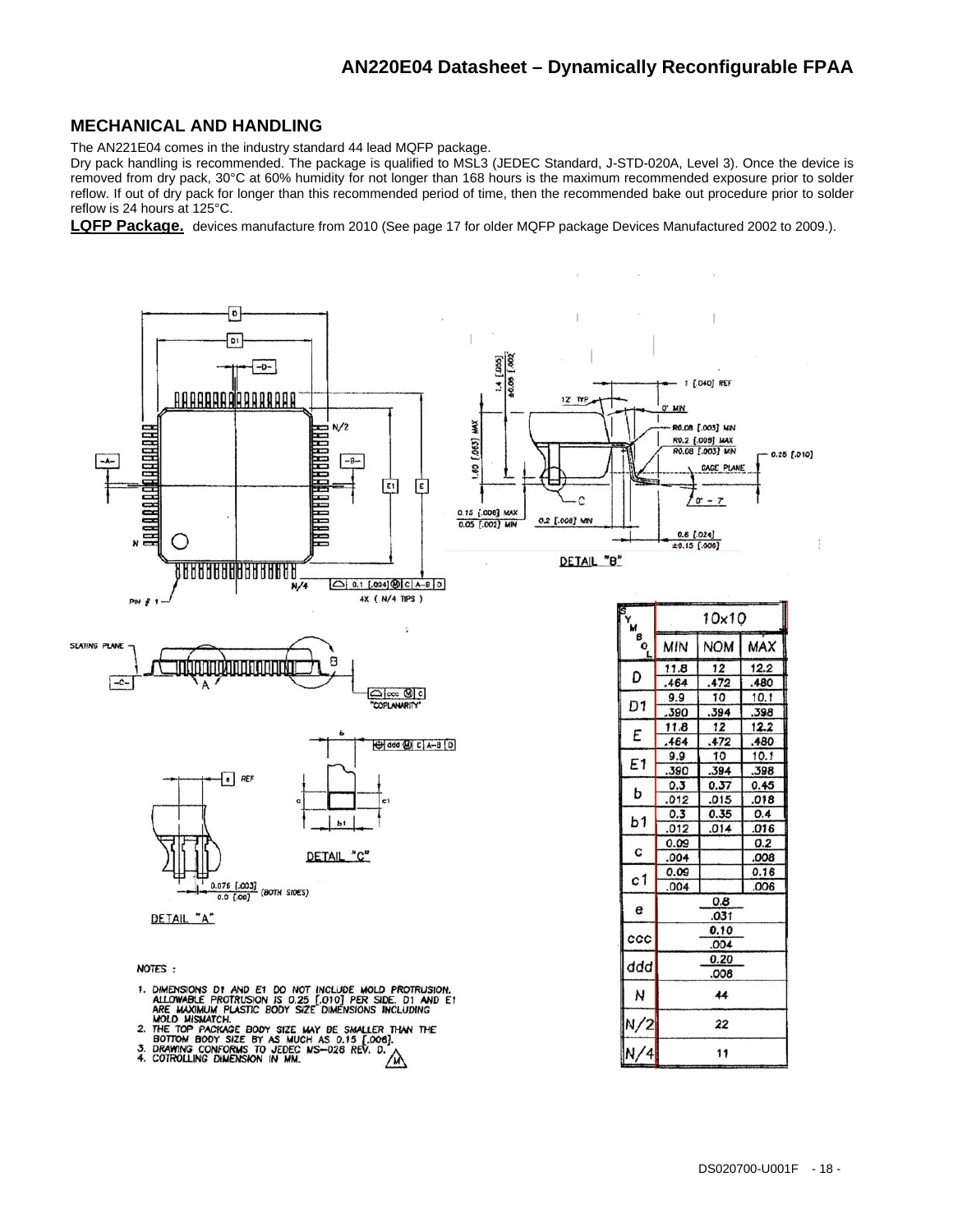#### **MECHANICAL AND HANDLING**

The AN221E04 comes in the industry standard 44 lead MQFP package.

Dry pack handling is recommended. The package is qualified to MSL3 (JEDEC Standard, J-STD-020A, Level 3). Once the device is removed from dry pack, 30°C at 60% humidity for not longer than 168 hours is the maximum recommended exposure prior to solder reflow. If out of dry pack for longer than this recommended period of time, then the recommended bake out procedure prior to solder reflow is 24 hours at 125°C.

**LQFP Package.** devices manufacture from 2010 (See page 17 for older MQFP package Devices Manufactured 2002 to 2009.).



- 1. DIMENSIONS D1 AND E1 D0 NOT INCLUDE MOLD PROTRUSION.<br>ALLOWABLE PROTRUSION IS 0.25 [.010] PER SIDE. D1 AND E1<br>ARE MAXIMUM PLASTIC BODY SIZE DIMENSIONS INCLUDING<br>MOLD MISMATCH.
- 
- MOLD MISMATCH.<br>2. THE TOP PACKAGE BODY SIZE MAY BE SMALLER THAN THE<br>BOTTOM BODY SIZE BY AS MUCH AS 0.15 [.006].<br>3. DRAWING CONFORMS TO JEDEC MS-028 REV. D.
- 

22

11

 $N/2$ 

 $N/4$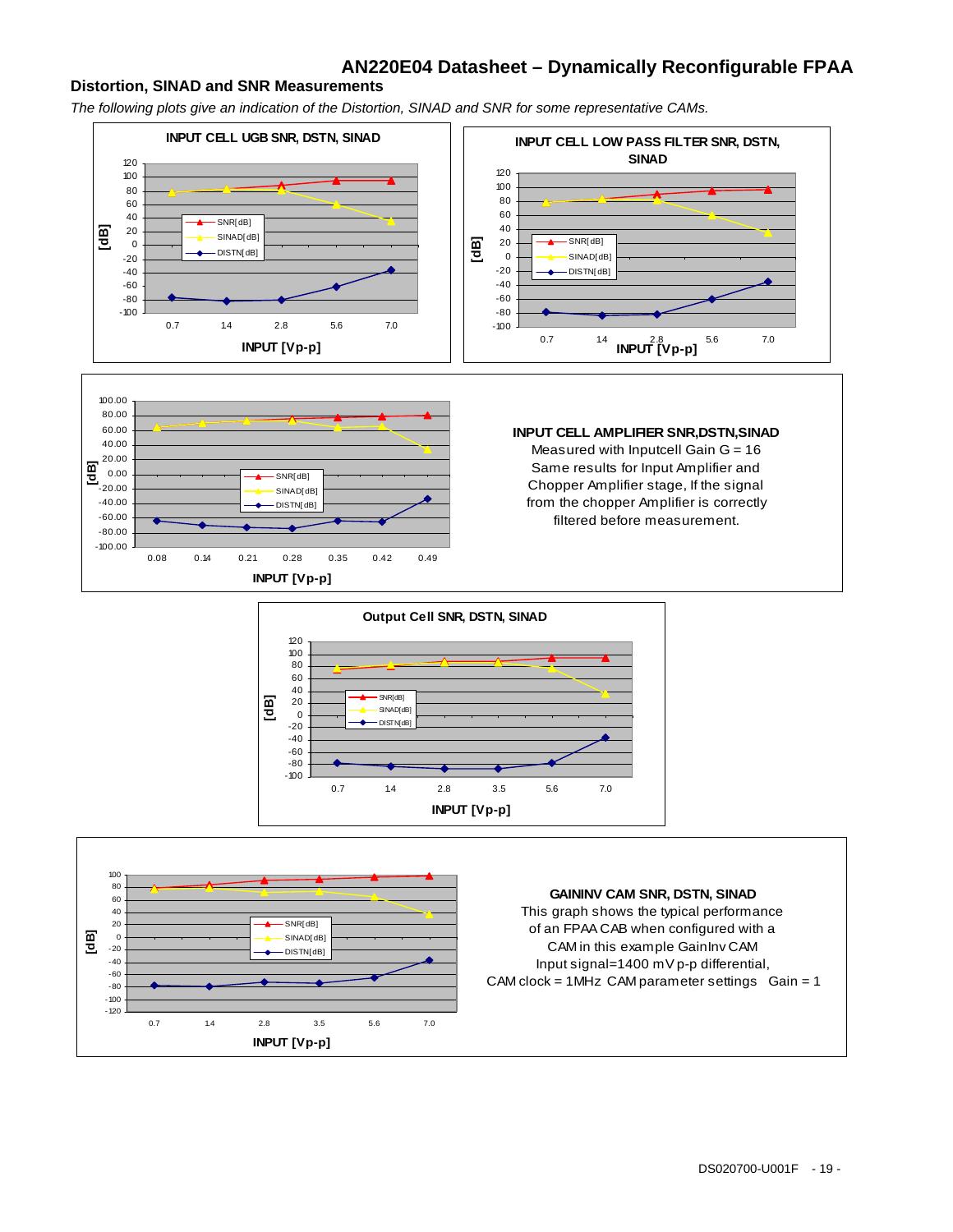#### **Distortion, SINAD and SNR Measurements**

*The following plots give an indication of the Distortion, SINAD and SNR for some representative CAMs.* 

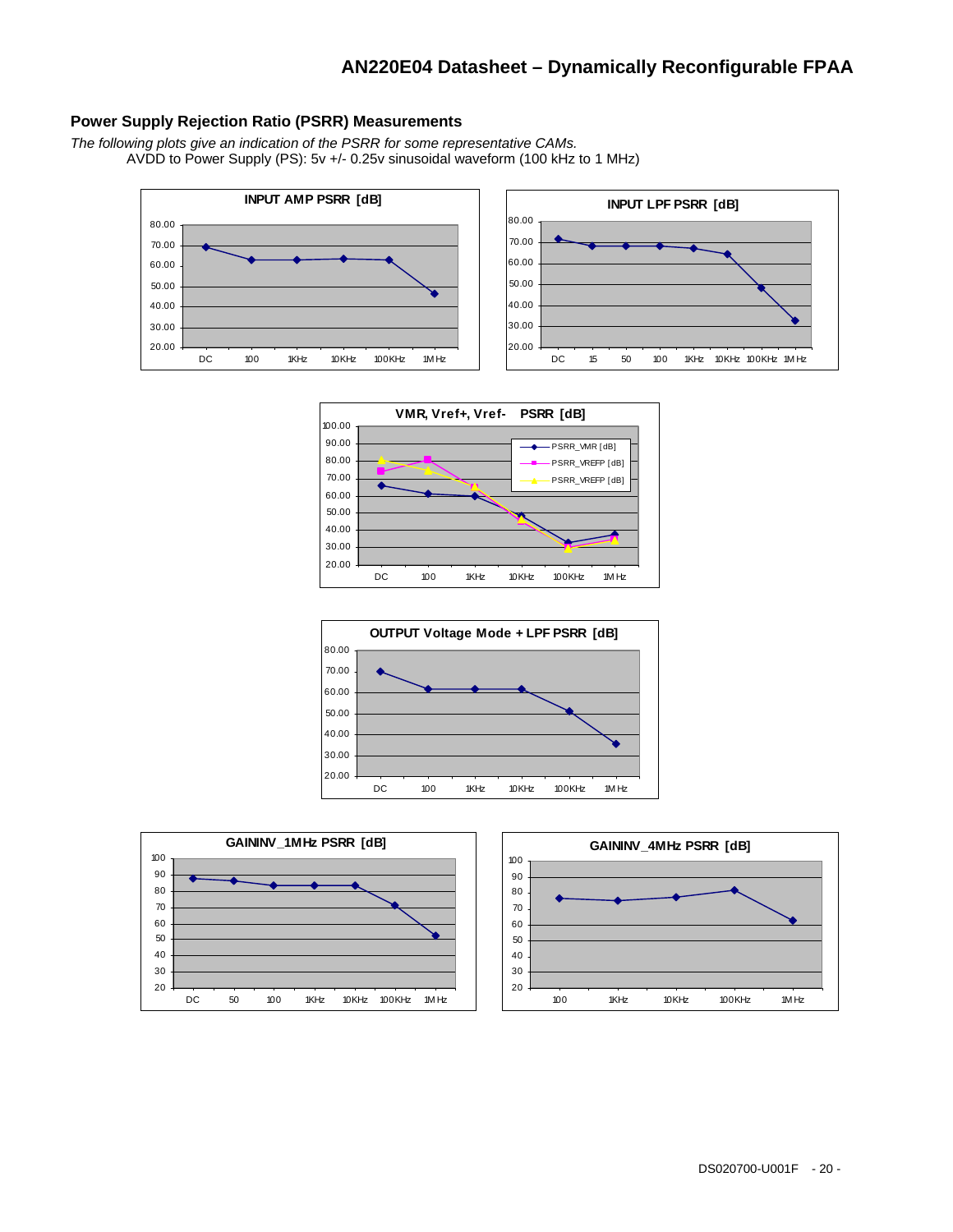#### **Power Supply Rejection Ratio (PSRR) Measurements**

*The following plots give an indication of the PSRR for some representative CAMs.*  AVDD to Power Supply (PS): 5v +/- 0.25v sinusoidal waveform (100 kHz to 1 MHz)





DC 100 1KHz 10KHz 100KHz 1M Hz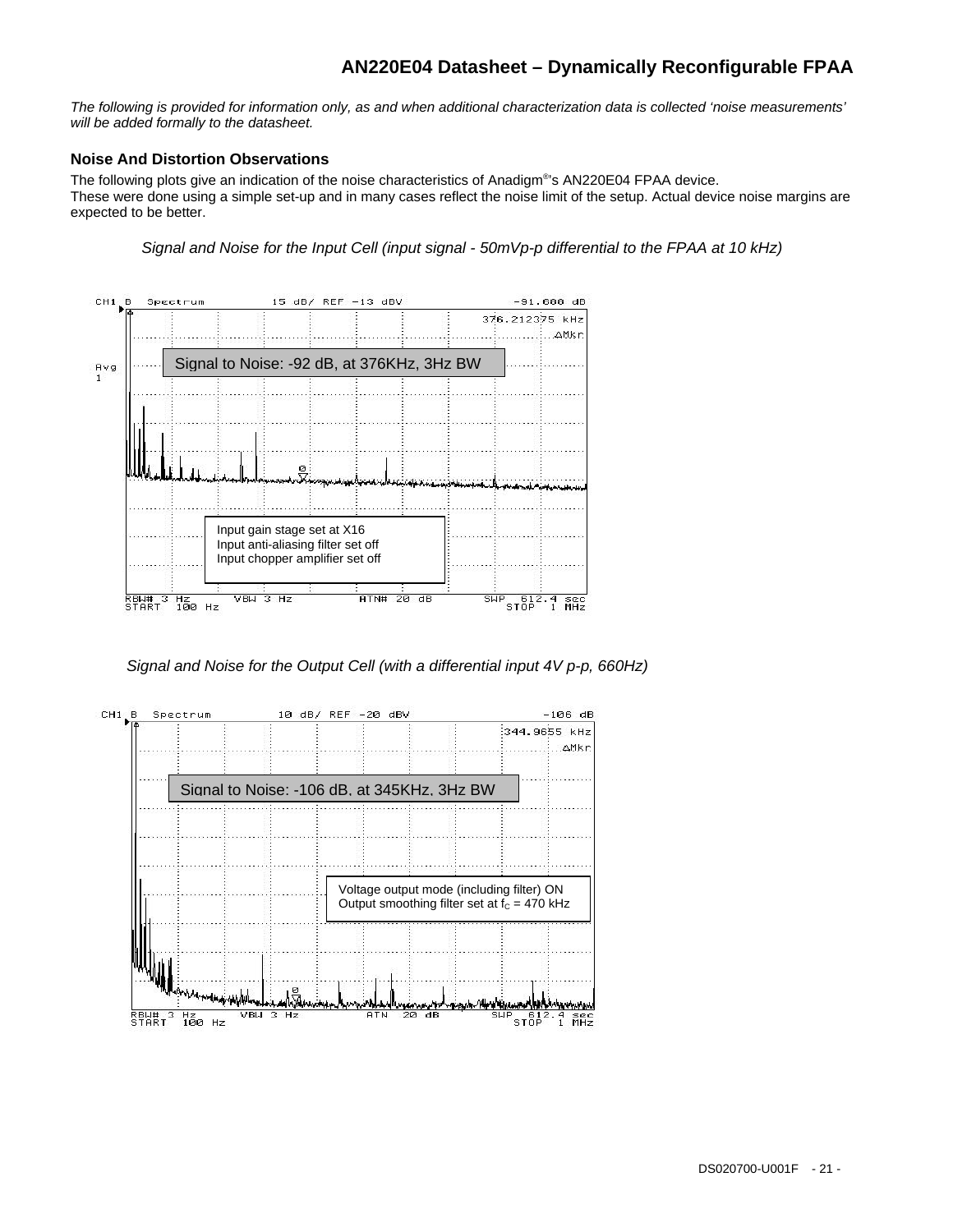*The following is provided for information only, as and when additional characterization data is collected 'noise measurements' will be added formally to the datasheet.* 

#### **Noise And Distortion Observations**

The following plots give an indication of the noise characteristics of Anadigm®s AN220E04 FPAA device. These were done using a simple set-up and in many cases reflect the noise limit of the setup. Actual device noise margins are expected to be better.

*Signal and Noise for the Input Cell (input signal - 50mVp-p differential to the FPAA at 10 kHz)* 



*Signal and Noise for the Output Cell (with a differential input 4V p-p, 660Hz)*